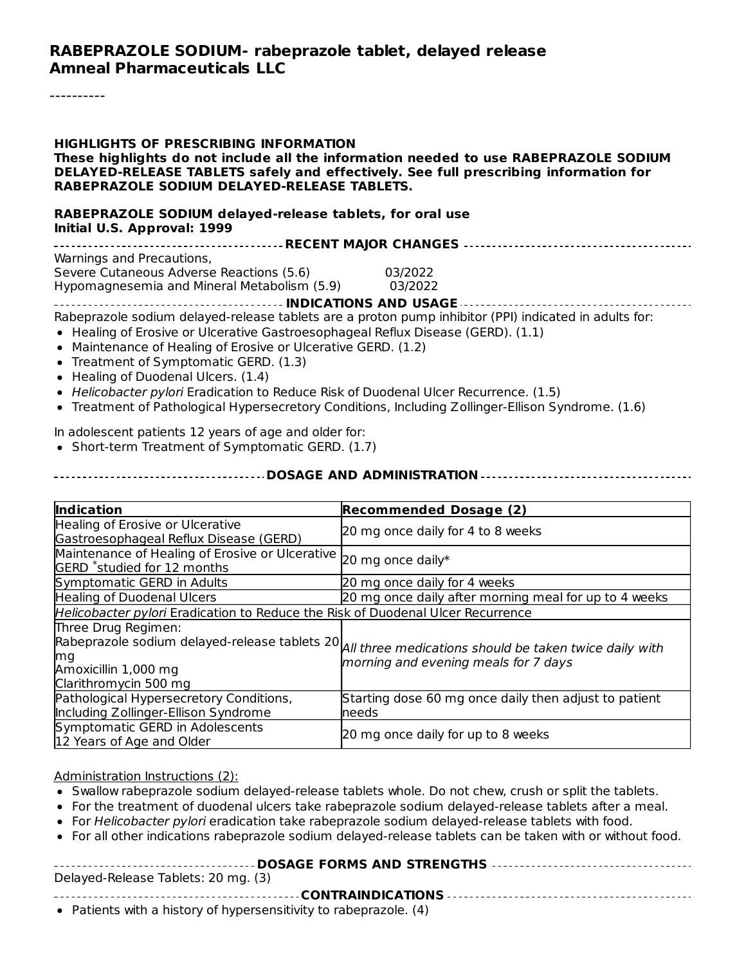#### **RABEPRAZOLE SODIUM- rabeprazole tablet, delayed release Amneal Pharmaceuticals LLC**

**HIGHLIGHTS OF PRESCRIBING INFORMATION These highlights do not include all the information needed to use RABEPRAZOLE SODIUM DELAYED-RELEASE TABLETS safely and effectively. See full prescribing information for RABEPRAZOLE SODIUM DELAYED-RELEASE TABLETS.**

**RABEPRAZOLE SODIUM delayed-release tablets, for oral use Initial U.S. Approval: 1999**

| Warnings and Precautions,                                                                             |         |  |  |  |
|-------------------------------------------------------------------------------------------------------|---------|--|--|--|
| Severe Cutaneous Adverse Reactions (5.6)                                                              | 03/2022 |  |  |  |
| Hypomagnesemia and Mineral Metabolism (5.9)                                                           | 03/2022 |  |  |  |
|                                                                                                       |         |  |  |  |
| Rabeprazole sodium delayed-release tablets are a proton pump inhibitor (PPI) indicated in adults for: |         |  |  |  |

- Healing of Erosive or Ulcerative Gastroesophageal Reflux Disease (GERD). (1.1)
- Maintenance of Healing of Erosive or Ulcerative GERD. (1.2)
- Treatment of Symptomatic GERD. (1.3)
- Healing of Duodenal Ulcers. (1.4)
- Helicobacter pylori Eradication to Reduce Risk of Duodenal Ulcer Recurrence. (1.5)
- Treatment of Pathological Hypersecretory Conditions, Including Zollinger-Ellison Syndrome. (1.6)

In adolescent patients 12 years of age and older for:

• Short-term Treatment of Symptomatic GERD. (1.7)

#### **DOSAGE AND ADMINISTRATION**

| <b>Indication</b>                                                                          | <b>Recommended Dosage (2)</b>                                                                                                                |  |  |
|--------------------------------------------------------------------------------------------|----------------------------------------------------------------------------------------------------------------------------------------------|--|--|
| Healing of Erosive or Ulcerative<br>Gastroesophageal Reflux Disease (GERD)                 | 20 mg once daily for 4 to 8 weeks                                                                                                            |  |  |
| Maintenance of Healing of Erosive or Ulcerative<br>GERD <sup>*</sup> studied for 12 months | 20 mg once daily*                                                                                                                            |  |  |
| Symptomatic GERD in Adults                                                                 | 20 mg once daily for 4 weeks                                                                                                                 |  |  |
| <b>Healing of Duodenal Ulcers</b>                                                          | 20 mg once daily after morning meal for up to 4 weeks                                                                                        |  |  |
| Helicobacter pylori Eradication to Reduce the Risk of Duodenal Ulcer Recurrence            |                                                                                                                                              |  |  |
| Three Drug Regimen:<br>ma<br>Amoxicillin 1,000 mg<br>Clarithromycin 500 mg                 | Rabeprazole sodium delayed-release tablets 20 All three medications should be taken twice daily with<br>morning and evening meals for 7 days |  |  |
| Pathological Hypersecretory Conditions,<br>Including Zollinger-Ellison Syndrome            | Starting dose 60 mg once daily then adjust to patient<br>needs                                                                               |  |  |
| Symptomatic GERD in Adolescents<br>12 Years of Age and Older                               | 20 mg once daily for up to 8 weeks                                                                                                           |  |  |

Administration Instructions (2):

- Swallow rabeprazole sodium delayed-release tablets whole. Do not chew, crush or split the tablets.
- For the treatment of duodenal ulcers take rabeprazole sodium delayed-release tablets after a meal.
- For Helicobacter pylori eradication take rabeprazole sodium delayed-release tablets with food.
- For all other indications rabeprazole sodium delayed-release tablets can be taken with or without food.

| Delayed-Release Tablets: 20 mg. (3) |
|-------------------------------------|
|                                     |
|                                     |

Patients with a history of hypersensitivity to rabeprazole. (4)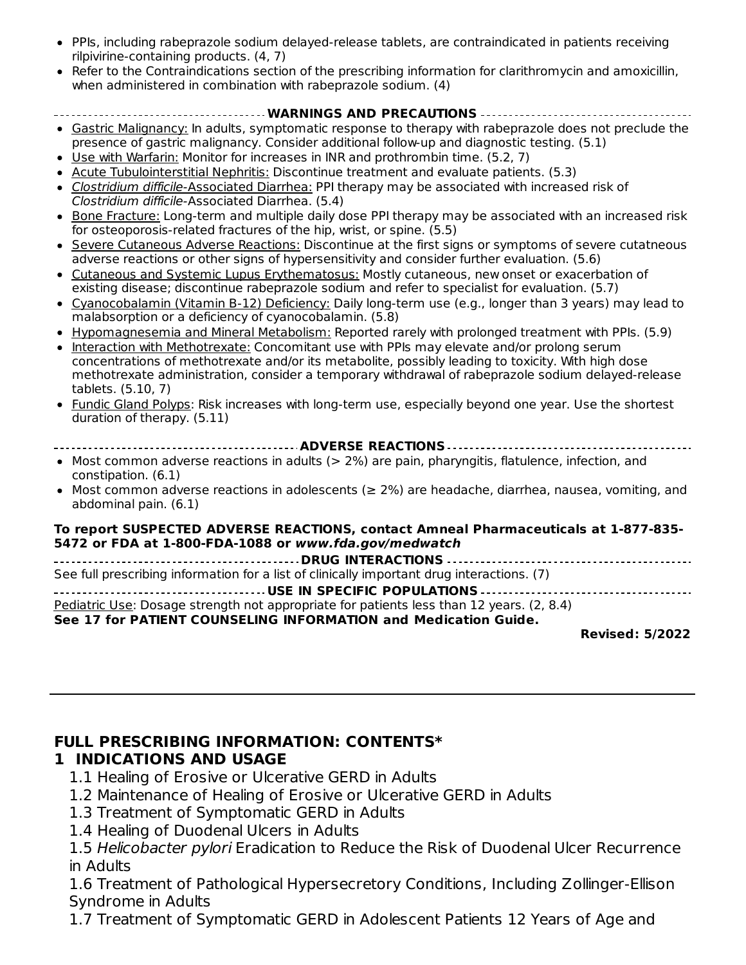- PPIs, including rabeprazole sodium delayed-release tablets, are contraindicated in patients receiving rilpivirine-containing products. (4, 7)
- Refer to the Contraindications section of the prescribing information for clarithromycin and amoxicillin, when administered in combination with rabeprazole sodium. (4)

#### **WARNINGS AND PRECAUTIONS**

- Gastric Malignancy: In adults, symptomatic response to therapy with rabeprazole does not preclude the presence of gastric malignancy. Consider additional follow-up and diagnostic testing. (5.1)
- Use with Warfarin: Monitor for increases in INR and prothrombin time. (5.2, 7)
- Acute Tubulointerstitial Nephritis: Discontinue treatment and evaluate patients. (5.3)
- Clostridium difficile-Associated Diarrhea: PPI therapy may be associated with increased risk of Clostridium difficile-Associated Diarrhea. (5.4)
- Bone Fracture: Long-term and multiple daily dose PPI therapy may be associated with an increased risk  $\bullet$ for osteoporosis-related fractures of the hip, wrist, or spine. (5.5)
- Severe Cutaneous Adverse Reactions: Discontinue at the first signs or symptoms of severe cutatneous adverse reactions or other signs of hypersensitivity and consider further evaluation. (5.6)
- Cutaneous and Systemic Lupus Erythematosus: Mostly cutaneous, new onset or exacerbation of existing disease; discontinue rabeprazole sodium and refer to specialist for evaluation. (5.7)
- Cyanocobalamin (Vitamin B-12) Deficiency: Daily long-term use (e.g., longer than 3 years) may lead to malabsorption or a deficiency of cyanocobalamin. (5.8)
- Hypomagnesemia and Mineral Metabolism: Reported rarely with prolonged treatment with PPIs. (5.9)
- Interaction with Methotrexate: Concomitant use with PPIs may elevate and/or prolong serum concentrations of methotrexate and/or its metabolite, possibly leading to toxicity. With high dose methotrexate administration, consider a temporary withdrawal of rabeprazole sodium delayed-release tablets. (5.10, 7)
- Fundic Gland Polyps: Risk increases with long-term use, especially beyond one year. Use the shortest duration of therapy. (5.11)
- **ADVERSE REACTIONS**
- Most common adverse reactions in adults (> 2%) are pain, pharyngitis, flatulence, infection, and constipation. (6.1)
- Most common adverse reactions in adolescents ( $\geq$  2%) are headache, diarrhea, nausea, vomiting, and abdominal pain. (6.1)

#### **To report SUSPECTED ADVERSE REACTIONS, contact Amneal Pharmaceuticals at 1-877-835- 5472 or FDA at 1-800-FDA-1088 or www.fda.gov/medwatch**

**DRUG INTERACTIONS** See full prescribing information for a list of clinically important drug interactions. (7) **USE IN SPECIFIC POPULATIONS** Pediatric Use: Dosage strength not appropriate for patients less than 12 years. (2, 8.4) **See 17 for PATIENT COUNSELING INFORMATION and Medication Guide.**

**Revised: 5/2022**

#### **FULL PRESCRIBING INFORMATION: CONTENTS\***

#### **1 INDICATIONS AND USAGE**

- 1.1 Healing of Erosive or Ulcerative GERD in Adults
- 1.2 Maintenance of Healing of Erosive or Ulcerative GERD in Adults
- 1.3 Treatment of Symptomatic GERD in Adults
- 1.4 Healing of Duodenal Ulcers in Adults

1.5 Helicobacter pylori Eradication to Reduce the Risk of Duodenal Ulcer Recurrence in Adults

1.6 Treatment of Pathological Hypersecretory Conditions, Including Zollinger-Ellison Syndrome in Adults

1.7 Treatment of Symptomatic GERD in Adolescent Patients 12 Years of Age and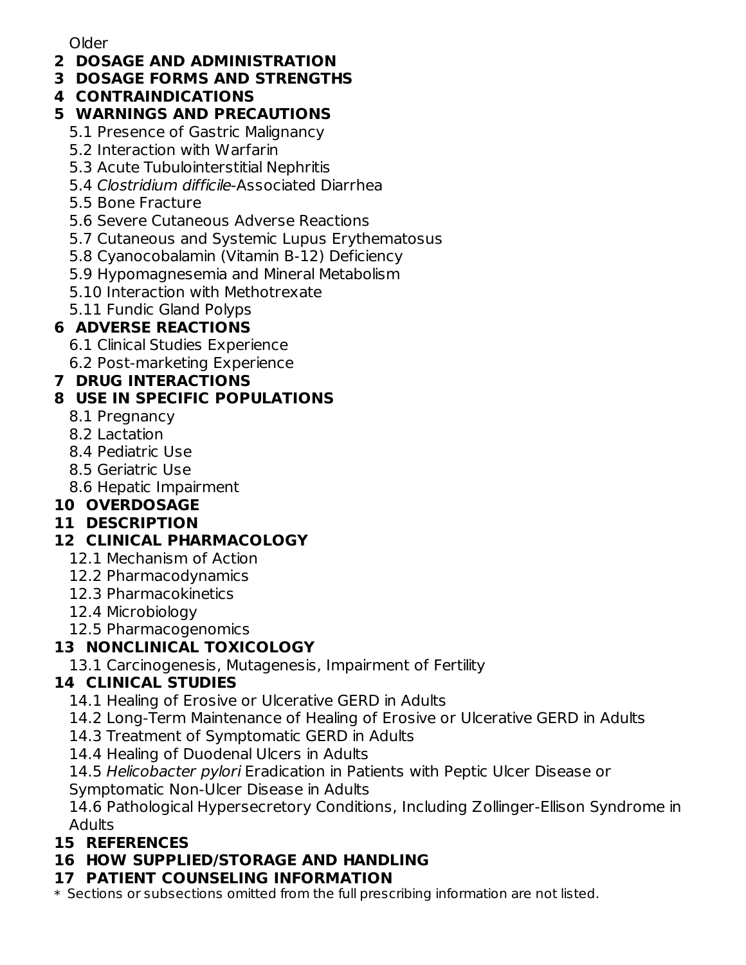Older

- **2 DOSAGE AND ADMINISTRATION**
- **3 DOSAGE FORMS AND STRENGTHS**
- **4 CONTRAINDICATIONS**

## **5 WARNINGS AND PRECAUTIONS**

- 5.1 Presence of Gastric Malignancy
- 5.2 Interaction with Warfarin
- 5.3 Acute Tubulointerstitial Nephritis
- 5.4 Clostridium difficile-Associated Diarrhea
- 5.5 Bone Fracture
- 5.6 Severe Cutaneous Adverse Reactions
- 5.7 Cutaneous and Systemic Lupus Erythematosus
- 5.8 Cyanocobalamin (Vitamin B-12) Deficiency
- 5.9 Hypomagnesemia and Mineral Metabolism
- 5.10 Interaction with Methotrexate
- 5.11 Fundic Gland Polyps

## **6 ADVERSE REACTIONS**

- 6.1 Clinical Studies Experience
- 6.2 Post-marketing Experience

## **7 DRUG INTERACTIONS**

## **8 USE IN SPECIFIC POPULATIONS**

- 8.1 Pregnancy
- 8.2 Lactation
- 8.4 Pediatric Use
- 8.5 Geriatric Use
- 8.6 Hepatic Impairment

## **10 OVERDOSAGE**

## **11 DESCRIPTION**

## **12 CLINICAL PHARMACOLOGY**

- 12.1 Mechanism of Action
- 12.2 Pharmacodynamics
- 12.3 Pharmacokinetics
- 12.4 Microbiology
- 12.5 Pharmacogenomics

## **13 NONCLINICAL TOXICOLOGY**

13.1 Carcinogenesis, Mutagenesis, Impairment of Fertility

## **14 CLINICAL STUDIES**

- 14.1 Healing of Erosive or Ulcerative GERD in Adults
- 14.2 Long-Term Maintenance of Healing of Erosive or Ulcerative GERD in Adults
- 14.3 Treatment of Symptomatic GERD in Adults
- 14.4 Healing of Duodenal Ulcers in Adults
- 14.5 Helicobacter pylori Eradication in Patients with Peptic Ulcer Disease or

Symptomatic Non-Ulcer Disease in Adults

14.6 Pathological Hypersecretory Conditions, Including Zollinger-Ellison Syndrome in Adults

## **15 REFERENCES**

# **16 HOW SUPPLIED/STORAGE AND HANDLING**

## **17 PATIENT COUNSELING INFORMATION**

\* Sections or subsections omitted from the full prescribing information are not listed.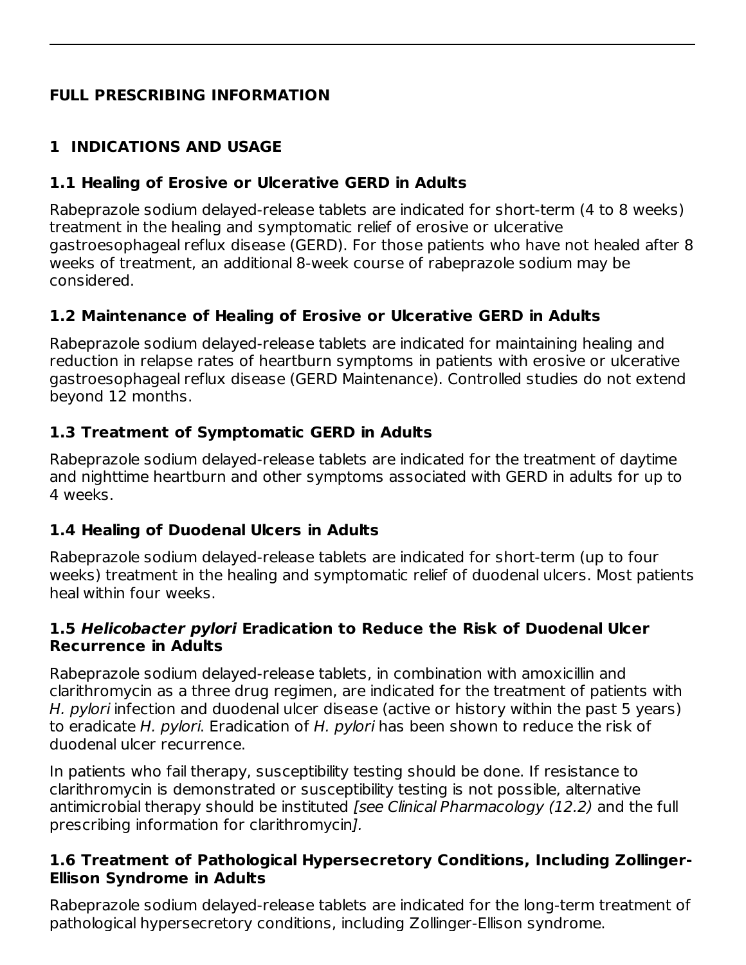## **FULL PRESCRIBING INFORMATION**

## **1 INDICATIONS AND USAGE**

### **1.1 Healing of Erosive or Ulcerative GERD in Adults**

Rabeprazole sodium delayed-release tablets are indicated for short-term (4 to 8 weeks) treatment in the healing and symptomatic relief of erosive or ulcerative gastroesophageal reflux disease (GERD). For those patients who have not healed after 8 weeks of treatment, an additional 8-week course of rabeprazole sodium may be considered.

## **1.2 Maintenance of Healing of Erosive or Ulcerative GERD in Adults**

Rabeprazole sodium delayed-release tablets are indicated for maintaining healing and reduction in relapse rates of heartburn symptoms in patients with erosive or ulcerative gastroesophageal reflux disease (GERD Maintenance). Controlled studies do not extend beyond 12 months.

### **1.3 Treatment of Symptomatic GERD in Adults**

Rabeprazole sodium delayed-release tablets are indicated for the treatment of daytime and nighttime heartburn and other symptoms associated with GERD in adults for up to 4 weeks.

### **1.4 Healing of Duodenal Ulcers in Adults**

Rabeprazole sodium delayed-release tablets are indicated for short-term (up to four weeks) treatment in the healing and symptomatic relief of duodenal ulcers. Most patients heal within four weeks.

#### **1.5 Helicobacter pylori Eradication to Reduce the Risk of Duodenal Ulcer Recurrence in Adults**

Rabeprazole sodium delayed-release tablets, in combination with amoxicillin and clarithromycin as a three drug regimen, are indicated for the treatment of patients with H. *pylori* infection and duodenal ulcer disease (active or history within the past 5 years) to eradicate H. pylori. Eradication of H. pylori has been shown to reduce the risk of duodenal ulcer recurrence.

In patients who fail therapy, susceptibility testing should be done. If resistance to clarithromycin is demonstrated or susceptibility testing is not possible, alternative antimicrobial therapy should be instituted *[see Clinical Pharmacology (12.2)* and the full prescribing information for clarithromycin].

#### **1.6 Treatment of Pathological Hypersecretory Conditions, Including Zollinger-Ellison Syndrome in Adults**

Rabeprazole sodium delayed-release tablets are indicated for the long-term treatment of pathological hypersecretory conditions, including Zollinger-Ellison syndrome.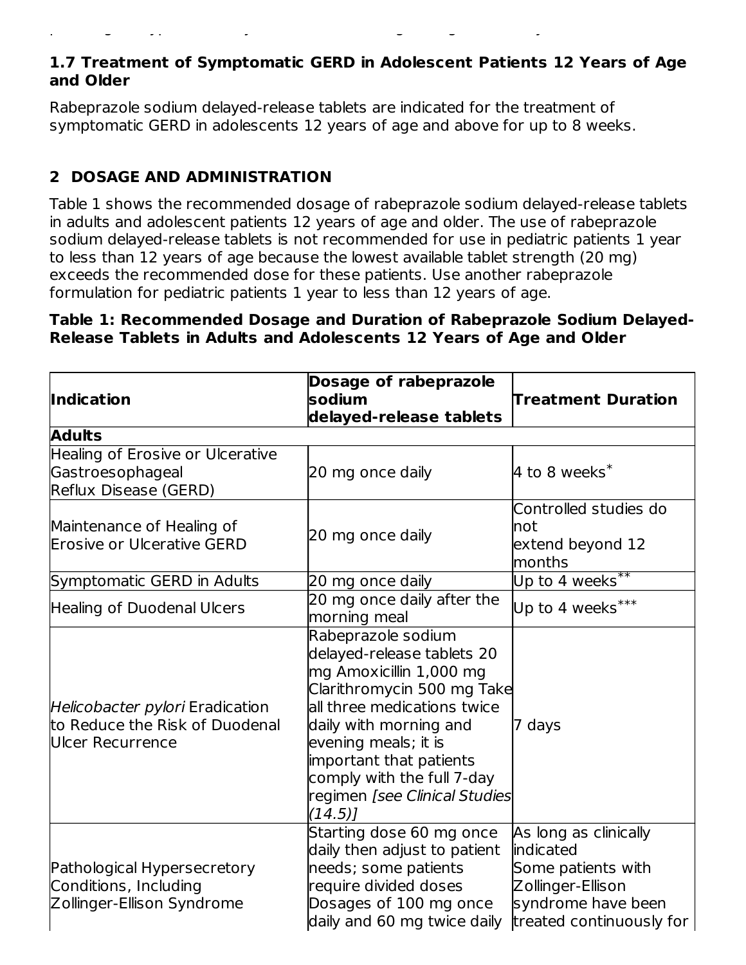#### **1.7 Treatment of Symptomatic GERD in Adolescent Patients 12 Years of Age and Older**

Rabeprazole sodium delayed-release tablets are indicated for the treatment of symptomatic GERD in adolescents 12 years of age and above for up to 8 weeks.

pathological hypersecretory conditions, including Zollinger-Ellison syndrome.

## **2 DOSAGE AND ADMINISTRATION**

Table 1 shows the recommended dosage of rabeprazole sodium delayed-release tablets in adults and adolescent patients 12 years of age and older. The use of rabeprazole sodium delayed-release tablets is not recommended for use in pediatric patients 1 year to less than 12 years of age because the lowest available tablet strength (20 mg) exceeds the recommended dose for these patients. Use another rabeprazole formulation for pediatric patients 1 year to less than 12 years of age.

#### **Table 1: Recommended Dosage and Duration of Rabeprazole Sodium Delayed-Release Tablets in Adults and Adolescents 12 Years of Age and Older**

| <b>Indication</b>                                                                            | Dosage of rabeprazole<br>sodium<br>delayed-release tablets                                                                                                                                                                                                                                     | <b>Treatment Duration</b>                                                                                                       |
|----------------------------------------------------------------------------------------------|------------------------------------------------------------------------------------------------------------------------------------------------------------------------------------------------------------------------------------------------------------------------------------------------|---------------------------------------------------------------------------------------------------------------------------------|
| <b>Adults</b>                                                                                |                                                                                                                                                                                                                                                                                                |                                                                                                                                 |
| Healing of Erosive or Ulcerative<br>Gastroesophageal<br>Reflux Disease (GERD)                | 20 mg once daily                                                                                                                                                                                                                                                                               | 4 to 8 weeks $^*$                                                                                                               |
| Maintenance of Healing of<br><b>Erosive or Ulcerative GERD</b>                               | 20 mg once daily                                                                                                                                                                                                                                                                               | Controlled studies do<br>not<br>extend beyond 12<br>months                                                                      |
| Symptomatic GERD in Adults                                                                   | 20 mg once daily                                                                                                                                                                                                                                                                               | Up to 4 $\overline{weeks}^{**}$                                                                                                 |
| Healing of Duodenal Ulcers                                                                   | 20 mg once daily after the<br>morning meal                                                                                                                                                                                                                                                     | Up to 4 weeks***                                                                                                                |
| Helicobacter pylori Eradication<br>to Reduce the Risk of Duodenal<br><b>Ulcer Recurrence</b> | Rabeprazole sodium<br>delayed-release tablets 20<br>mg Amoxicillin 1,000 mg<br>Clarithromycin 500 mg Take<br>all three medications twice<br>daily with morning and<br>evening meals; it is<br>important that patients<br>comply with the full 7-day<br>regimen [see Clinical Studies<br>(14.5) | 7 days                                                                                                                          |
| Pathological Hypersecretory<br>Conditions, Including<br>Zollinger-Ellison Syndrome           | Starting dose 60 mg once<br>daily then adjust to patient<br>needs; some patients<br>require divided doses<br>Dosages of 100 mg once<br>daily and 60 mg twice daily                                                                                                                             | As long as clinically<br>indicated<br>Some patients with<br>Zollinger-Ellison<br>syndrome have been<br>treated continuously for |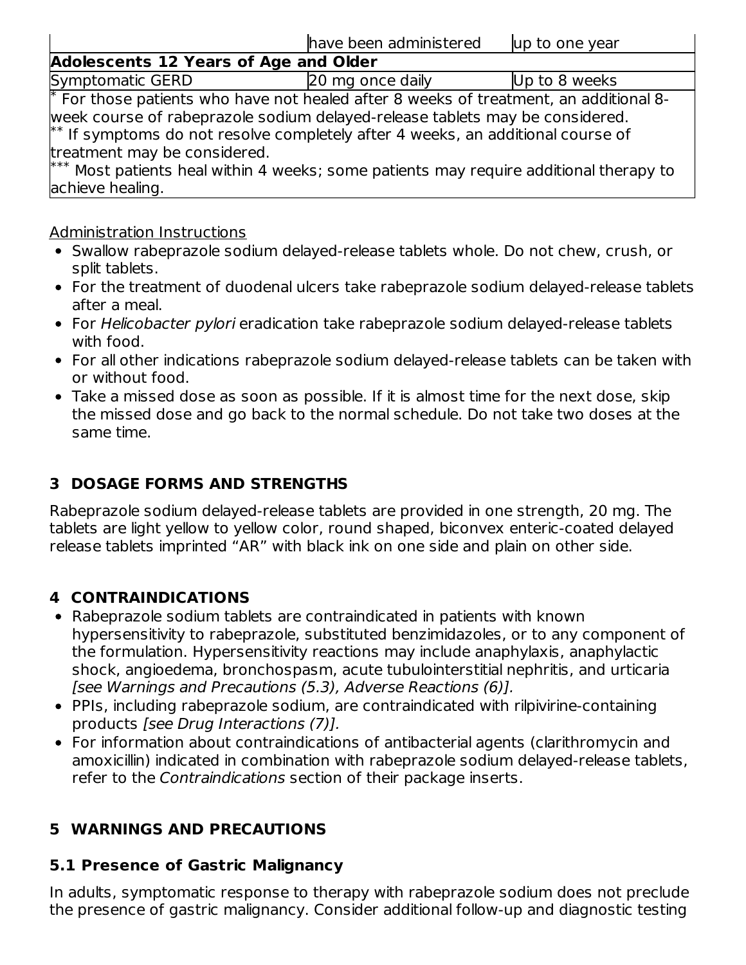|                                                  | have been administered                                                                                                                                                                                                                                                                                                                                | up to one year |
|--------------------------------------------------|-------------------------------------------------------------------------------------------------------------------------------------------------------------------------------------------------------------------------------------------------------------------------------------------------------------------------------------------------------|----------------|
| <b>Adolescents 12 Years of Age and Older</b>     |                                                                                                                                                                                                                                                                                                                                                       |                |
| Symptomatic GERD                                 | 20 mg once daily                                                                                                                                                                                                                                                                                                                                      | Up to 8 weeks  |
| treatment may be considered.<br>achieve healing. | $*$ For those patients who have not healed after 8 weeks of treatment, an additional 8-<br>week course of rabeprazole sodium delayed-release tablets may be considered.<br>$*$ If symptoms do not resolve completely after 4 weeks, an additional course of<br>*** Most patients heal within 4 weeks; some patients may require additional therapy to |                |

#### Administration Instructions

- Swallow rabeprazole sodium delayed-release tablets whole. Do not chew, crush, or split tablets.
- For the treatment of duodenal ulcers take rabeprazole sodium delayed-release tablets after a meal.
- For Helicobacter pylori eradication take rabeprazole sodium delayed-release tablets with food.
- For all other indications rabeprazole sodium delayed-release tablets can be taken with or without food.
- Take a missed dose as soon as possible. If it is almost time for the next dose, skip the missed dose and go back to the normal schedule. Do not take two doses at the same time.

## **3 DOSAGE FORMS AND STRENGTHS**

Rabeprazole sodium delayed-release tablets are provided in one strength, 20 mg. The tablets are light yellow to yellow color, round shaped, biconvex enteric-coated delayed release tablets imprinted "AR" with black ink on one side and plain on other side.

## **4 CONTRAINDICATIONS**

- Rabeprazole sodium tablets are contraindicated in patients with known hypersensitivity to rabeprazole, substituted benzimidazoles, or to any component of the formulation. Hypersensitivity reactions may include anaphylaxis, anaphylactic shock, angioedema, bronchospasm, acute tubulointerstitial nephritis, and urticaria [see Warnings and Precautions (5.3), Adverse Reactions (6)].
- PPIs, including rabeprazole sodium, are contraindicated with rilpivirine-containing products [see Drug Interactions (7)].
- For information about contraindications of antibacterial agents (clarithromycin and amoxicillin) indicated in combination with rabeprazole sodium delayed-release tablets, refer to the Contraindications section of their package inserts.

## **5 WARNINGS AND PRECAUTIONS**

#### **5.1 Presence of Gastric Malignancy**

In adults, symptomatic response to therapy with rabeprazole sodium does not preclude the presence of gastric malignancy. Consider additional follow-up and diagnostic testing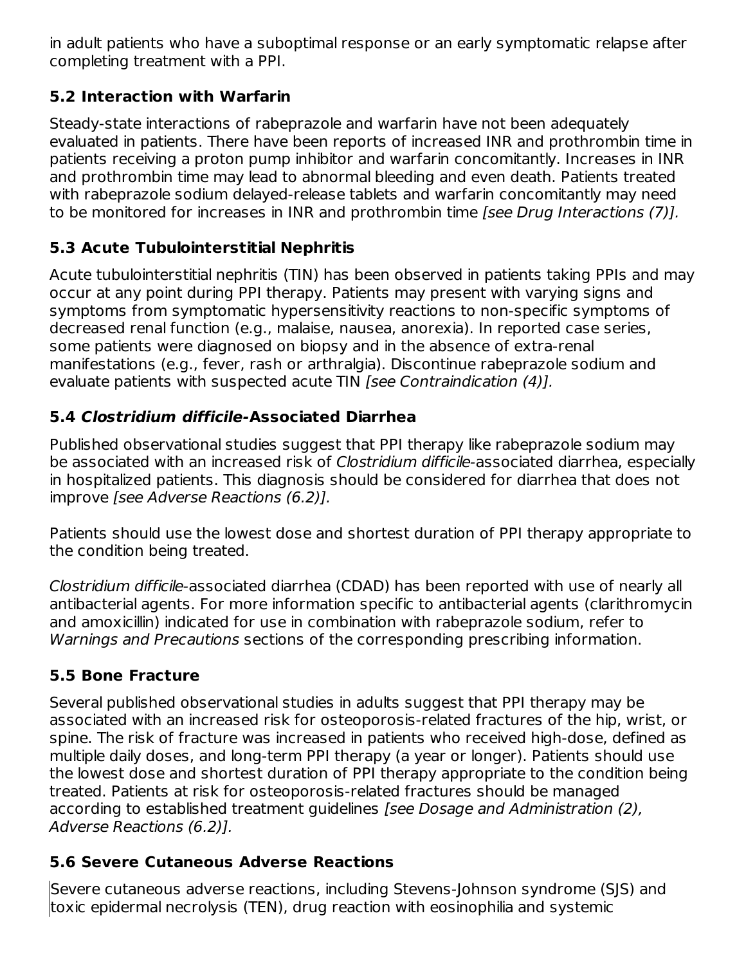in adult patients who have a suboptimal response or an early symptomatic relapse after completing treatment with a PPI.

## **5.2 Interaction with Warfarin**

Steady-state interactions of rabeprazole and warfarin have not been adequately evaluated in patients. There have been reports of increased INR and prothrombin time in patients receiving a proton pump inhibitor and warfarin concomitantly. Increases in INR and prothrombin time may lead to abnormal bleeding and even death. Patients treated with rabeprazole sodium delayed-release tablets and warfarin concomitantly may need to be monitored for increases in INR and prothrombin time [see Drug Interactions (7)].

## **5.3 Acute Tubulointerstitial Nephritis**

Acute tubulointerstitial nephritis (TIN) has been observed in patients taking PPIs and may occur at any point during PPI therapy. Patients may present with varying signs and symptoms from symptomatic hypersensitivity reactions to non-specific symptoms of decreased renal function (e.g., malaise, nausea, anorexia). In reported case series, some patients were diagnosed on biopsy and in the absence of extra-renal manifestations (e.g., fever, rash or arthralgia). Discontinue rabeprazole sodium and evaluate patients with suspected acute TIN [see Contraindication (4)].

## **5.4 Clostridium difficile-Associated Diarrhea**

Published observational studies suggest that PPI therapy like rabeprazole sodium may be associated with an increased risk of Clostridium difficile-associated diarrhea, especially in hospitalized patients. This diagnosis should be considered for diarrhea that does not improve [see Adverse Reactions (6.2)].

Patients should use the lowest dose and shortest duration of PPI therapy appropriate to the condition being treated.

Clostridium difficile-associated diarrhea (CDAD) has been reported with use of nearly all antibacterial agents. For more information specific to antibacterial agents (clarithromycin and amoxicillin) indicated for use in combination with rabeprazole sodium, refer to Warnings and Precautions sections of the corresponding prescribing information.

## **5.5 Bone Fracture**

Several published observational studies in adults suggest that PPI therapy may be associated with an increased risk for osteoporosis-related fractures of the hip, wrist, or spine. The risk of fracture was increased in patients who received high-dose, defined as multiple daily doses, and long-term PPI therapy (a year or longer). Patients should use the lowest dose and shortest duration of PPI therapy appropriate to the condition being treated. Patients at risk for osteoporosis-related fractures should be managed according to established treatment guidelines [see Dosage and Administration (2), Adverse Reactions (6.2)].

## **5.6 Severe Cutaneous Adverse Reactions**

Severe cutaneous adverse reactions, including Stevens-Johnson syndrome (SJS) and toxic epidermal necrolysis (TEN), drug reaction with eosinophilia and systemic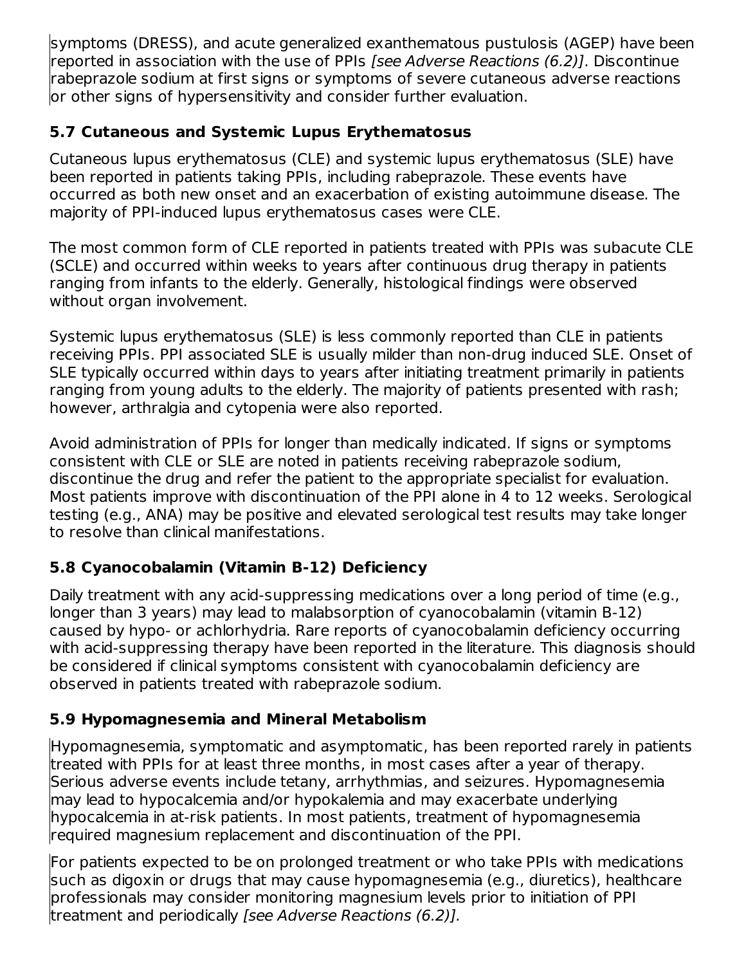symptoms (DRESS), and acute generalized exanthematous pustulosis (AGEP) have been reported in association with the use of PPIs [see Adverse Reactions (6.2)]. Discontinue rabeprazole sodium at first signs or symptoms of severe cutaneous adverse reactions or other signs of hypersensitivity and consider further evaluation.

### **5.7 Cutaneous and Systemic Lupus Erythematosus**

Cutaneous lupus erythematosus (CLE) and systemic lupus erythematosus (SLE) have been reported in patients taking PPIs, including rabeprazole. These events have occurred as both new onset and an exacerbation of existing autoimmune disease. The majority of PPI-induced lupus erythematosus cases were CLE.

The most common form of CLE reported in patients treated with PPIs was subacute CLE (SCLE) and occurred within weeks to years after continuous drug therapy in patients ranging from infants to the elderly. Generally, histological findings were observed without organ involvement.

Systemic lupus erythematosus (SLE) is less commonly reported than CLE in patients receiving PPIs. PPI associated SLE is usually milder than non-drug induced SLE. Onset of SLE typically occurred within days to years after initiating treatment primarily in patients ranging from young adults to the elderly. The majority of patients presented with rash; however, arthralgia and cytopenia were also reported.

Avoid administration of PPIs for longer than medically indicated. If signs or symptoms consistent with CLE or SLE are noted in patients receiving rabeprazole sodium, discontinue the drug and refer the patient to the appropriate specialist for evaluation. Most patients improve with discontinuation of the PPI alone in 4 to 12 weeks. Serological testing (e.g., ANA) may be positive and elevated serological test results may take longer to resolve than clinical manifestations.

## **5.8 Cyanocobalamin (Vitamin B-12) Deficiency**

Daily treatment with any acid-suppressing medications over a long period of time (e.g., longer than 3 years) may lead to malabsorption of cyanocobalamin (vitamin B-12) caused by hypo- or achlorhydria. Rare reports of cyanocobalamin deficiency occurring with acid-suppressing therapy have been reported in the literature. This diagnosis should be considered if clinical symptoms consistent with cyanocobalamin deficiency are observed in patients treated with rabeprazole sodium.

## **5.9 Hypomagnesemia and Mineral Metabolism**

Hypomagnesemia, symptomatic and asymptomatic, has been reported rarely in patients treated with PPIs for at least three months, in most cases after a year of therapy. Serious adverse events include tetany, arrhythmias, and seizures. Hypomagnesemia may lead to hypocalcemia and/or hypokalemia and may exacerbate underlying hypocalcemia in at-risk patients. In most patients, treatment of hypomagnesemia required magnesium replacement and discontinuation of the PPI.

For patients expected to be on prolonged treatment or who take PPIs with medications such as digoxin or drugs that may cause hypomagnesemia (e.g., diuretics), healthcare professionals may consider monitoring magnesium levels prior to initiation of PPI treatment and periodically [see Adverse Reactions (6.2)].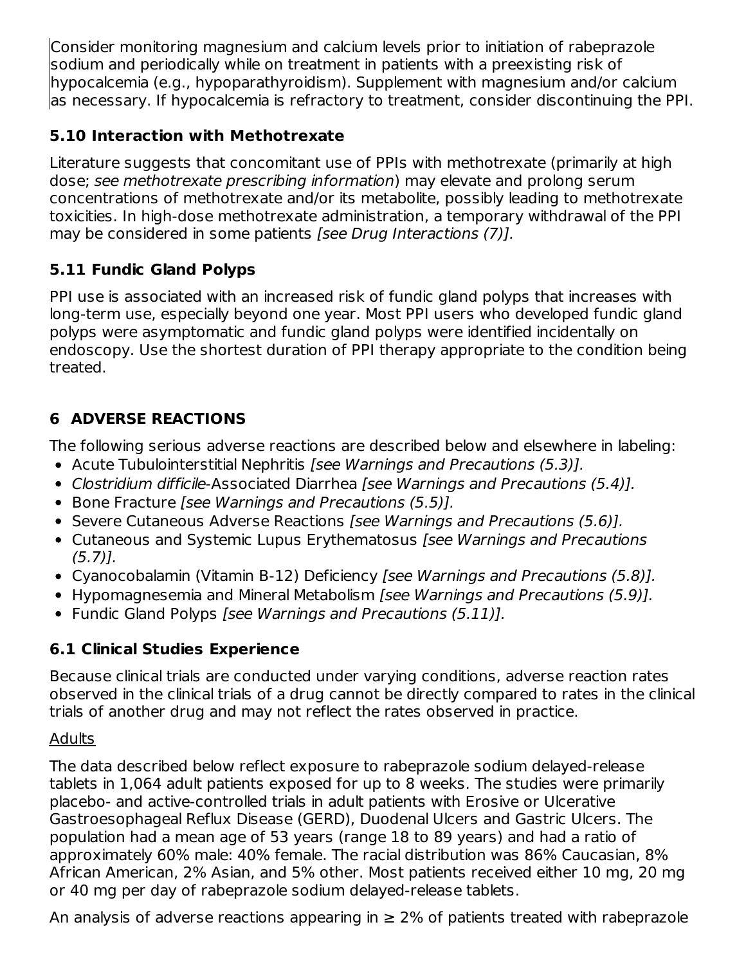Consider monitoring magnesium and calcium levels prior to initiation of rabeprazole sodium and periodically while on treatment in patients with a preexisting risk of hypocalcemia (e.g., hypoparathyroidism). Supplement with magnesium and/or calcium as necessary. If hypocalcemia is refractory to treatment, consider discontinuing the PPI.

## **5.10 Interaction with Methotrexate**

Literature suggests that concomitant use of PPIs with methotrexate (primarily at high dose; see methotrexate prescribing information) may elevate and prolong serum concentrations of methotrexate and/or its metabolite, possibly leading to methotrexate toxicities. In high-dose methotrexate administration, a temporary withdrawal of the PPI may be considered in some patients [see Drug Interactions (7)].

## **5.11 Fundic Gland Polyps**

PPI use is associated with an increased risk of fundic gland polyps that increases with long-term use, especially beyond one year. Most PPI users who developed fundic gland polyps were asymptomatic and fundic gland polyps were identified incidentally on endoscopy. Use the shortest duration of PPI therapy appropriate to the condition being treated.

## **6 ADVERSE REACTIONS**

The following serious adverse reactions are described below and elsewhere in labeling:

- Acute Tubulointerstitial Nephritis [see Warnings and Precautions (5.3)].
- Clostridium difficile-Associated Diarrhea [see Warnings and Precautions (5.4)].
- Bone Fracture [see Warnings and Precautions (5.5)].
- Severe Cutaneous Adverse Reactions *[see Warnings and Precautions (5.6)].*
- Cutaneous and Systemic Lupus Erythematosus *[see Warnings and Precautions* (5.7)].
- Cyanocobalamin (Vitamin B-12) Deficiency [see Warnings and Precautions (5.8)].
- Hypomagnesemia and Mineral Metabolism *[see Warnings and Precautions (5.9)].*
- Fundic Gland Polyps [see Warnings and Precautions (5.11)].

## **6.1 Clinical Studies Experience**

Because clinical trials are conducted under varying conditions, adverse reaction rates observed in the clinical trials of a drug cannot be directly compared to rates in the clinical trials of another drug and may not reflect the rates observed in practice.

## Adults

The data described below reflect exposure to rabeprazole sodium delayed-release tablets in 1,064 adult patients exposed for up to 8 weeks. The studies were primarily placebo- and active-controlled trials in adult patients with Erosive or Ulcerative Gastroesophageal Reflux Disease (GERD), Duodenal Ulcers and Gastric Ulcers. The population had a mean age of 53 years (range 18 to 89 years) and had a ratio of approximately 60% male: 40% female. The racial distribution was 86% Caucasian, 8% African American, 2% Asian, and 5% other. Most patients received either 10 mg, 20 mg or 40 mg per day of rabeprazole sodium delayed-release tablets.

An analysis of adverse reactions appearing in  $\geq$  2% of patients treated with rabeprazole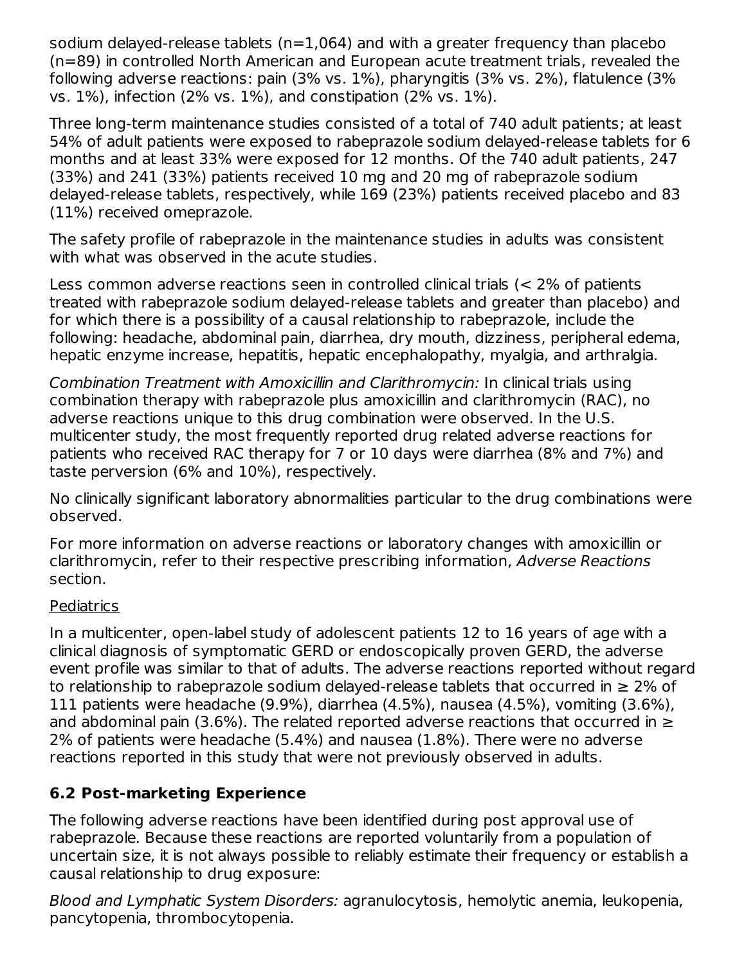sodium delayed-release tablets (n=1,064) and with a greater frequency than placebo (n=89) in controlled North American and European acute treatment trials, revealed the following adverse reactions: pain (3% vs. 1%), pharyngitis (3% vs. 2%), flatulence (3% vs. 1%), infection (2% vs. 1%), and constipation (2% vs. 1%).

Three long-term maintenance studies consisted of a total of 740 adult patients; at least 54% of adult patients were exposed to rabeprazole sodium delayed-release tablets for 6 months and at least 33% were exposed for 12 months. Of the 740 adult patients, 247 (33%) and 241 (33%) patients received 10 mg and 20 mg of rabeprazole sodium delayed-release tablets, respectively, while 169 (23%) patients received placebo and 83 (11%) received omeprazole.

The safety profile of rabeprazole in the maintenance studies in adults was consistent with what was observed in the acute studies.

Less common adverse reactions seen in controlled clinical trials (< 2% of patients treated with rabeprazole sodium delayed-release tablets and greater than placebo) and for which there is a possibility of a causal relationship to rabeprazole, include the following: headache, abdominal pain, diarrhea, dry mouth, dizziness, peripheral edema, hepatic enzyme increase, hepatitis, hepatic encephalopathy, myalgia, and arthralgia.

Combination Treatment with Amoxicillin and Clarithromycin: In clinical trials using combination therapy with rabeprazole plus amoxicillin and clarithromycin (RAC), no adverse reactions unique to this drug combination were observed. In the U.S. multicenter study, the most frequently reported drug related adverse reactions for patients who received RAC therapy for 7 or 10 days were diarrhea (8% and 7%) and taste perversion (6% and 10%), respectively.

No clinically significant laboratory abnormalities particular to the drug combinations were observed.

For more information on adverse reactions or laboratory changes with amoxicillin or clarithromycin, refer to their respective prescribing information, Adverse Reactions section.

#### **Pediatrics**

In a multicenter, open-label study of adolescent patients 12 to 16 years of age with a clinical diagnosis of symptomatic GERD or endoscopically proven GERD, the adverse event profile was similar to that of adults. The adverse reactions reported without regard to relationship to rabeprazole sodium delayed-release tablets that occurred in  $\geq 2\%$  of 111 patients were headache (9.9%), diarrhea (4.5%), nausea (4.5%), vomiting (3.6%), and abdominal pain (3.6%). The related reported adverse reactions that occurred in  $\geq$ 2% of patients were headache (5.4%) and nausea (1.8%). There were no adverse reactions reported in this study that were not previously observed in adults.

#### **6.2 Post-marketing Experience**

The following adverse reactions have been identified during post approval use of rabeprazole. Because these reactions are reported voluntarily from a population of uncertain size, it is not always possible to reliably estimate their frequency or establish a causal relationship to drug exposure:

Blood and Lymphatic System Disorders: agranulocytosis, hemolytic anemia, leukopenia, pancytopenia, thrombocytopenia.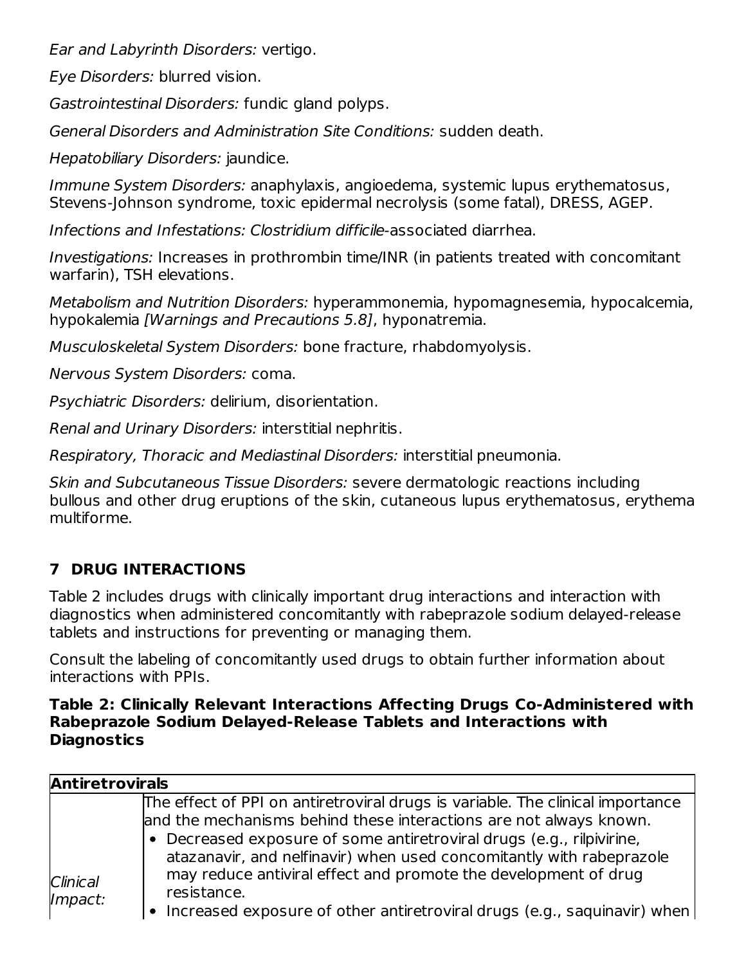Ear and Labyrinth Disorders: vertigo.

Eye Disorders: blurred vision.

Gastrointestinal Disorders: fundic gland polyps.

General Disorders and Administration Site Conditions: sudden death.

Hepatobiliary Disorders: jaundice.

Immune System Disorders: anaphylaxis, angioedema, systemic lupus erythematosus, Stevens-Johnson syndrome, toxic epidermal necrolysis (some fatal), DRESS, AGEP.

Infections and Infestations: Clostridium difficile-associated diarrhea.

Investigations: Increases in prothrombin time/INR (in patients treated with concomitant warfarin), TSH elevations.

Metabolism and Nutrition Disorders: hyperammonemia, hypomagnesemia, hypocalcemia, hypokalemia [Warnings and Precautions 5.8], hyponatremia.

Musculoskeletal System Disorders: bone fracture, rhabdomyolysis.

Nervous System Disorders: coma.

Psychiatric Disorders: delirium, disorientation.

Renal and Urinary Disorders: interstitial nephritis.

Respiratory, Thoracic and Mediastinal Disorders: interstitial pneumonia.

Skin and Subcutaneous Tissue Disorders: severe dermatologic reactions including bullous and other drug eruptions of the skin, cutaneous lupus erythematosus, erythema multiforme.

## **7 DRUG INTERACTIONS**

Table 2 includes drugs with clinically important drug interactions and interaction with diagnostics when administered concomitantly with rabeprazole sodium delayed-release tablets and instructions for preventing or managing them.

Consult the labeling of concomitantly used drugs to obtain further information about interactions with PPIs.

#### **Table 2: Clinically Relevant Interactions Affecting Drugs Co-Administered with Rabeprazole Sodium Delayed-Release Tablets and Interactions with Diagnostics**

| <b>Antiretrovirals</b> |                                                                                                                                                                                                                                                                                                       |
|------------------------|-------------------------------------------------------------------------------------------------------------------------------------------------------------------------------------------------------------------------------------------------------------------------------------------------------|
|                        | The effect of PPI on antiretroviral drugs is variable. The clinical importance<br>and the mechanisms behind these interactions are not always known.<br>• Decreased exposure of some antiretroviral drugs (e.g., rilpivirine,<br>atazanavir, and nelfinavir) when used concomitantly with rabeprazole |
| Clinical<br>Impact:    | may reduce antiviral effect and promote the development of drug<br>resistance.<br>• Increased exposure of other antiretroviral drugs (e.g., saquinavir) when                                                                                                                                          |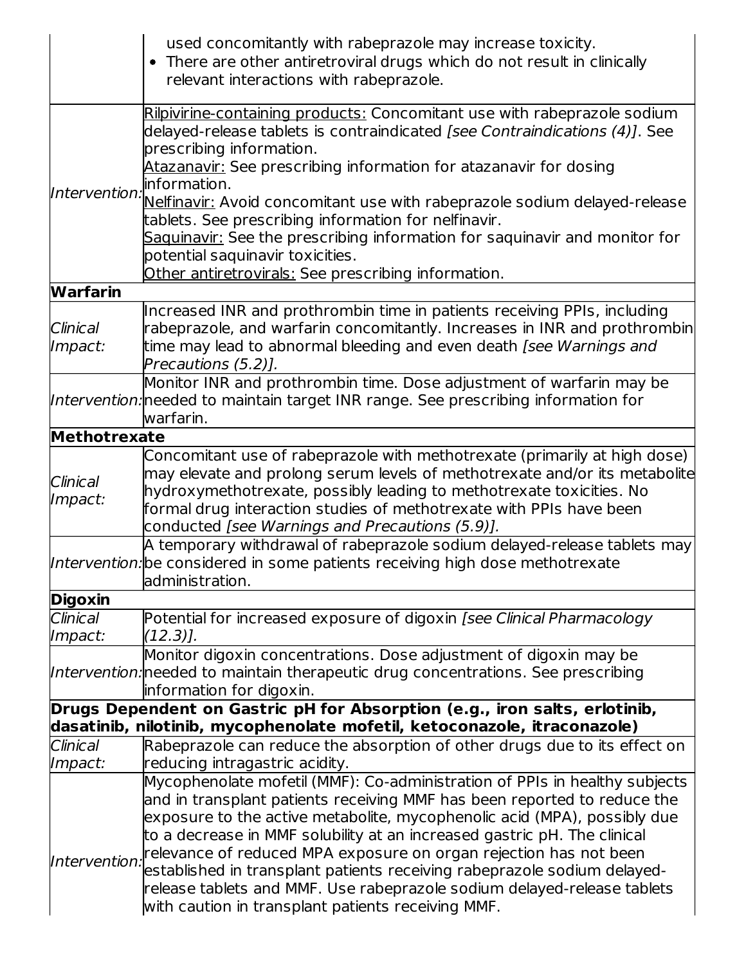| used concomitantly with rabeprazole may increase toxicity.<br>• There are other antiretroviral drugs which do not result in clinically                  |
|---------------------------------------------------------------------------------------------------------------------------------------------------------|
|                                                                                                                                                         |
| Rilpivirine-containing products: Concomitant use with rabeprazole sodium<br>delayed-release tablets is contraindicated [see Contraindications (4)]. See |
| Atazanavir: See prescribing information for atazanavir for dosing                                                                                       |
|                                                                                                                                                         |
| Nelfinavir: Avoid concomitant use with rabeprazole sodium delayed-release                                                                               |
| Saquinavir: See the prescribing information for saquinavir and monitor for                                                                              |
|                                                                                                                                                         |
|                                                                                                                                                         |
|                                                                                                                                                         |
| Increased INR and prothrombin time in patients receiving PPIs, including                                                                                |
| rabeprazole, and warfarin concomitantly. Increases in INR and prothrombin                                                                               |
| time may lead to abnormal bleeding and even death [see Warnings and                                                                                     |
| Monitor INR and prothrombin time. Dose adjustment of warfarin may be                                                                                    |
| Intervention: needed to maintain target INR range. See prescribing information for                                                                      |
|                                                                                                                                                         |
|                                                                                                                                                         |
| Concomitant use of rabeprazole with methotrexate (primarily at high dose)                                                                               |
| may elevate and prolong serum levels of methotrexate and/or its metabolite                                                                              |
| hydroxymethotrexate, possibly leading to methotrexate toxicities. No                                                                                    |
| formal drug interaction studies of methotrexate with PPIs have been                                                                                     |
| A temporary withdrawal of rabeprazole sodium delayed-release tablets may                                                                                |
| Intervention: be considered in some patients receiving high dose methotrexate                                                                           |
|                                                                                                                                                         |
|                                                                                                                                                         |
| Potential for increased exposure of digoxin [see Clinical Pharmacology                                                                                  |
|                                                                                                                                                         |
| Monitor digoxin concentrations. Dose adjustment of digoxin may be                                                                                       |
| Intervention: needed to maintain therapeutic drug concentrations. See prescribing                                                                       |
| Drugs Dependent on Gastric pH for Absorption (e.g., iron salts, erlotinib,                                                                              |
| dasatinib, nilotinib, mycophenolate mofetil, ketoconazole, itraconazole)                                                                                |
| Rabeprazole can reduce the absorption of other drugs due to its effect on                                                                               |
|                                                                                                                                                         |
| Mycophenolate mofetil (MMF): Co-administration of PPIs in healthy subjects                                                                              |
| and in transplant patients receiving MMF has been reported to reduce the                                                                                |
| exposure to the active metabolite, mycophenolic acid (MPA), possibly due                                                                                |
| to a decrease in MMF solubility at an increased gastric pH. The clinical                                                                                |
| relevance of reduced MPA exposure on organ rejection has not been<br>established in transplant patients receiving rabeprazole sodium delayed-           |
| release tablets and MMF. Use rabeprazole sodium delayed-release tablets                                                                                 |
|                                                                                                                                                         |
|                                                                                                                                                         |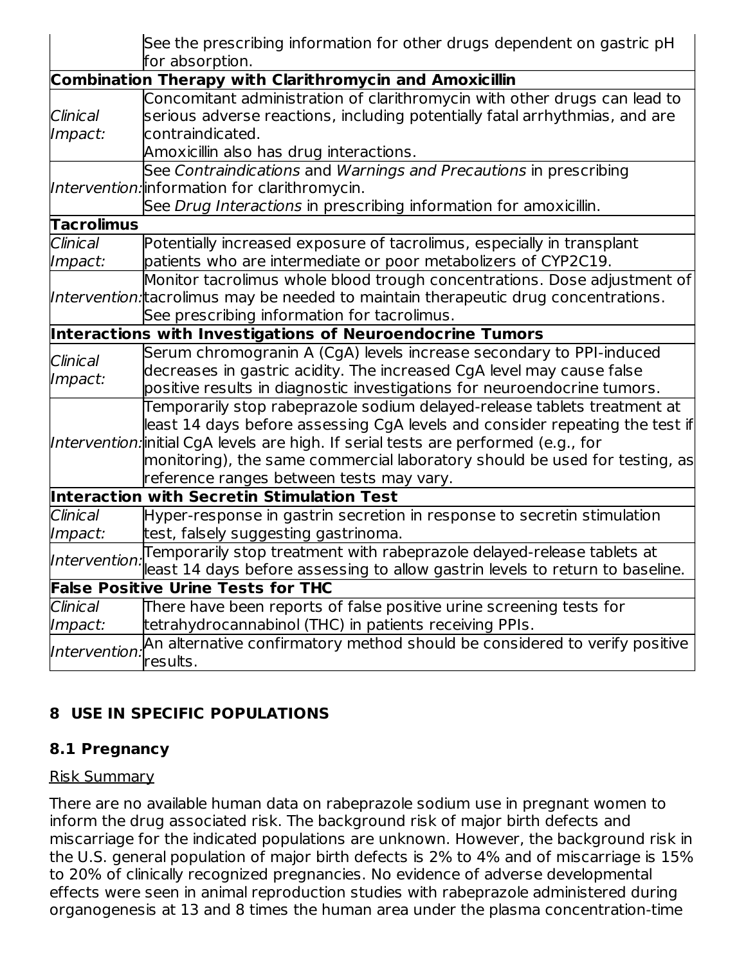|                                                                                                                                                                                                                                                                                                                                                                             | See the prescribing information for other drugs dependent on gastric pH<br>for absorption.                                                                                                                               |  |  |  |
|-----------------------------------------------------------------------------------------------------------------------------------------------------------------------------------------------------------------------------------------------------------------------------------------------------------------------------------------------------------------------------|--------------------------------------------------------------------------------------------------------------------------------------------------------------------------------------------------------------------------|--|--|--|
|                                                                                                                                                                                                                                                                                                                                                                             | <b>Combination Therapy with Clarithromycin and Amoxicillin</b>                                                                                                                                                           |  |  |  |
| Clinical<br>Impact:                                                                                                                                                                                                                                                                                                                                                         | Concomitant administration of clarithromycin with other drugs can lead to<br>serious adverse reactions, including potentially fatal arrhythmias, and are<br>contraindicated.<br>Amoxicillin also has drug interactions.  |  |  |  |
|                                                                                                                                                                                                                                                                                                                                                                             | See Contraindications and Warnings and Precautions in prescribing<br>Intervention: information for clarithromycin.<br>See Drug Interactions in prescribing information for amoxicillin.                                  |  |  |  |
| <b>Tacrolimus</b>                                                                                                                                                                                                                                                                                                                                                           |                                                                                                                                                                                                                          |  |  |  |
| Clinical<br>Impact:                                                                                                                                                                                                                                                                                                                                                         | Potentially increased exposure of tacrolimus, especially in transplant<br>patients who are intermediate or poor metabolizers of CYP2C19.                                                                                 |  |  |  |
|                                                                                                                                                                                                                                                                                                                                                                             | Monitor tacrolimus whole blood trough concentrations. Dose adjustment of<br>Intervention: tacrolimus may be needed to maintain therapeutic drug concentrations.<br>See prescribing information for tacrolimus.           |  |  |  |
|                                                                                                                                                                                                                                                                                                                                                                             | Interactions with Investigations of Neuroendocrine Tumors                                                                                                                                                                |  |  |  |
| Clinical<br>Impact:                                                                                                                                                                                                                                                                                                                                                         | Serum chromogranin A (CgA) levels increase secondary to PPI-induced<br>decreases in gastric acidity. The increased CgA level may cause false<br>positive results in diagnostic investigations for neuroendocrine tumors. |  |  |  |
| Temporarily stop rabeprazole sodium delayed-release tablets treatment at<br>least 14 days before assessing CgA levels and consider repeating the test if<br>Intervention: initial CgA levels are high. If serial tests are performed (e.g., for<br> monitoring), the same commercial laboratory should be used for testing, as <br>reference ranges between tests may vary. |                                                                                                                                                                                                                          |  |  |  |
|                                                                                                                                                                                                                                                                                                                                                                             | Interaction with Secretin Stimulation Test                                                                                                                                                                               |  |  |  |
| <b>Clinical</b><br>Impact:                                                                                                                                                                                                                                                                                                                                                  | Hyper-response in gastrin secretion in response to secretin stimulation<br>test, falsely suggesting gastrinoma.                                                                                                          |  |  |  |
| Intervention                                                                                                                                                                                                                                                                                                                                                                | Temporarily stop treatment with rabeprazole delayed-release tablets at<br>least 14 days before assessing to allow gastrin levels to return to baseline.                                                                  |  |  |  |
|                                                                                                                                                                                                                                                                                                                                                                             | <b>False Positive Urine Tests for THC</b>                                                                                                                                                                                |  |  |  |
| Clinical<br>Impact:                                                                                                                                                                                                                                                                                                                                                         | There have been reports of false positive urine screening tests for<br>tetrahydrocannabinol (THC) in patients receiving PPIs.                                                                                            |  |  |  |
| Intervention                                                                                                                                                                                                                                                                                                                                                                | An alternative confirmatory method should be considered to verify positive<br>results.                                                                                                                                   |  |  |  |

## **8 USE IN SPECIFIC POPULATIONS**

#### **8.1 Pregnancy**

#### Risk Summary

There are no available human data on rabeprazole sodium use in pregnant women to inform the drug associated risk. The background risk of major birth defects and miscarriage for the indicated populations are unknown. However, the background risk in the U.S. general population of major birth defects is 2% to 4% and of miscarriage is 15% to 20% of clinically recognized pregnancies. No evidence of adverse developmental effects were seen in animal reproduction studies with rabeprazole administered during organogenesis at 13 and 8 times the human area under the plasma concentration-time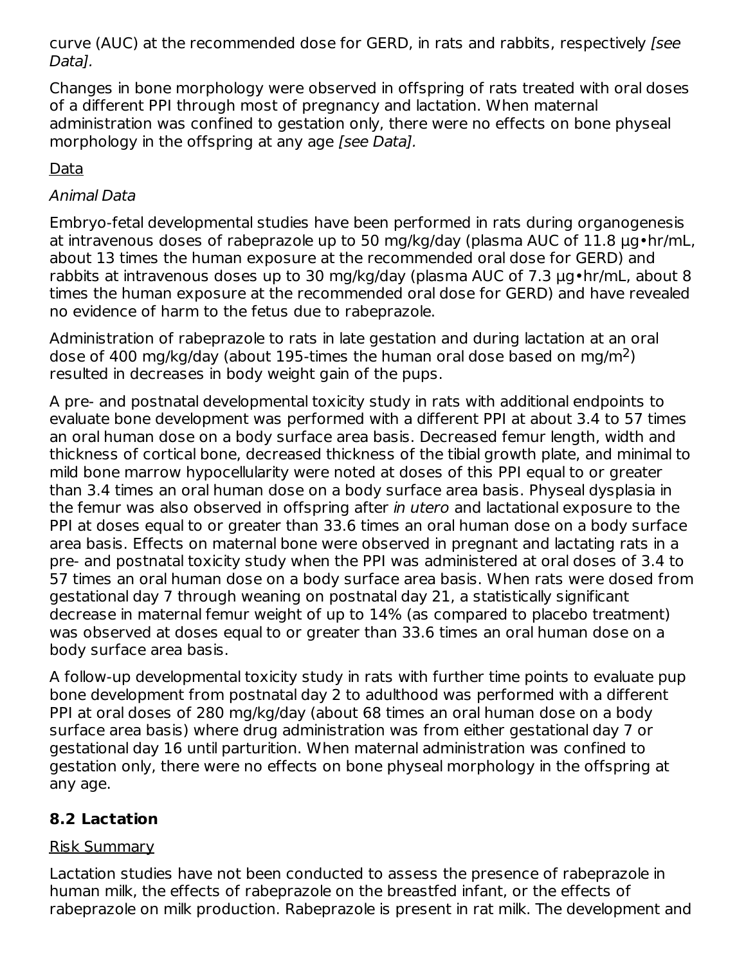curve (AUC) at the recommended dose for GERD, in rats and rabbits, respectively [see Data].

Changes in bone morphology were observed in offspring of rats treated with oral doses of a different PPI through most of pregnancy and lactation. When maternal administration was confined to gestation only, there were no effects on bone physeal morphology in the offspring at any age [see Data].

Data

### Animal Data

Embryo-fetal developmental studies have been performed in rats during organogenesis at intravenous doses of rabeprazole up to 50 mg/kg/day (plasma AUC of 11.8 µg•hr/mL, about 13 times the human exposure at the recommended oral dose for GERD) and rabbits at intravenous doses up to 30 mg/kg/day (plasma AUC of 7.3 µg•hr/mL, about 8 times the human exposure at the recommended oral dose for GERD) and have revealed no evidence of harm to the fetus due to rabeprazole.

Administration of rabeprazole to rats in late gestation and during lactation at an oral dose of 400 mg/kg/day (about 195-times the human oral dose based on mg/m<sup>2</sup>) resulted in decreases in body weight gain of the pups.

A pre- and postnatal developmental toxicity study in rats with additional endpoints to evaluate bone development was performed with a different PPI at about 3.4 to 57 times an oral human dose on a body surface area basis. Decreased femur length, width and thickness of cortical bone, decreased thickness of the tibial growth plate, and minimal to mild bone marrow hypocellularity were noted at doses of this PPI equal to or greater than 3.4 times an oral human dose on a body surface area basis. Physeal dysplasia in the femur was also observed in offspring after in utero and lactational exposure to the PPI at doses equal to or greater than 33.6 times an oral human dose on a body surface area basis. Effects on maternal bone were observed in pregnant and lactating rats in a pre- and postnatal toxicity study when the PPI was administered at oral doses of 3.4 to 57 times an oral human dose on a body surface area basis. When rats were dosed from gestational day 7 through weaning on postnatal day 21, a statistically significant decrease in maternal femur weight of up to 14% (as compared to placebo treatment) was observed at doses equal to or greater than 33.6 times an oral human dose on a body surface area basis.

A follow-up developmental toxicity study in rats with further time points to evaluate pup bone development from postnatal day 2 to adulthood was performed with a different PPI at oral doses of 280 mg/kg/day (about 68 times an oral human dose on a body surface area basis) where drug administration was from either gestational day 7 or gestational day 16 until parturition. When maternal administration was confined to gestation only, there were no effects on bone physeal morphology in the offspring at any age.

## **8.2 Lactation**

## Risk Summary

Lactation studies have not been conducted to assess the presence of rabeprazole in human milk, the effects of rabeprazole on the breastfed infant, or the effects of rabeprazole on milk production. Rabeprazole is present in rat milk. The development and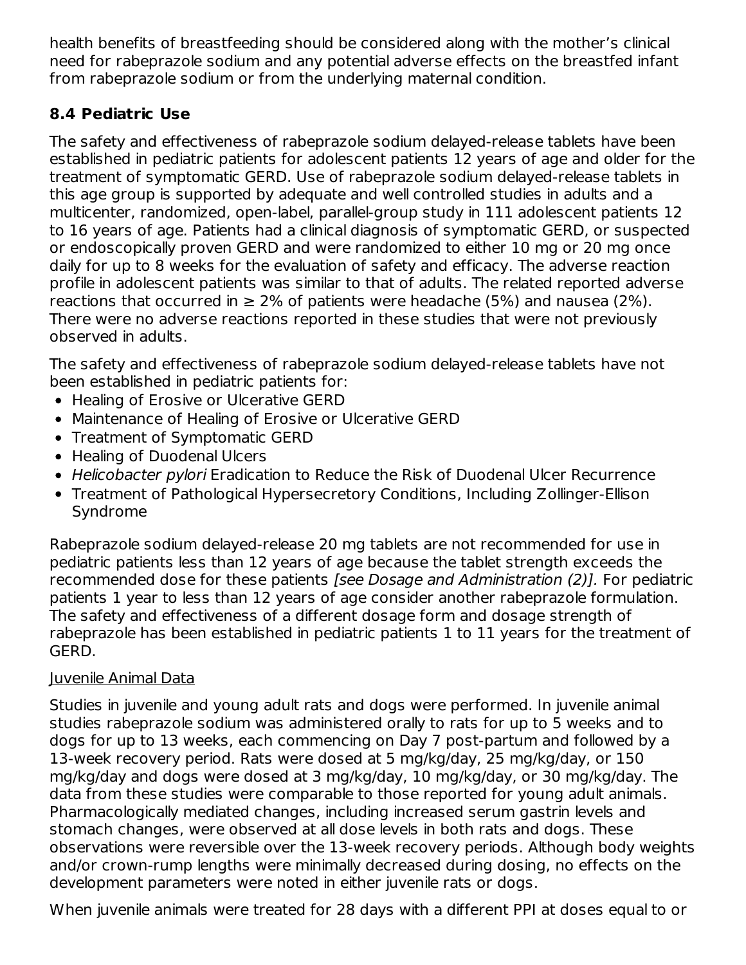health benefits of breastfeeding should be considered along with the mother's clinical need for rabeprazole sodium and any potential adverse effects on the breastfed infant from rabeprazole sodium or from the underlying maternal condition.

### **8.4 Pediatric Use**

The safety and effectiveness of rabeprazole sodium delayed-release tablets have been established in pediatric patients for adolescent patients 12 years of age and older for the treatment of symptomatic GERD. Use of rabeprazole sodium delayed-release tablets in this age group is supported by adequate and well controlled studies in adults and a multicenter, randomized, open-label, parallel-group study in 111 adolescent patients 12 to 16 years of age. Patients had a clinical diagnosis of symptomatic GERD, or suspected or endoscopically proven GERD and were randomized to either 10 mg or 20 mg once daily for up to 8 weeks for the evaluation of safety and efficacy. The adverse reaction profile in adolescent patients was similar to that of adults. The related reported adverse reactions that occurred in  $\geq 2\%$  of patients were headache (5%) and nausea (2%). There were no adverse reactions reported in these studies that were not previously observed in adults.

The safety and effectiveness of rabeprazole sodium delayed-release tablets have not been established in pediatric patients for:

- Healing of Erosive or Ulcerative GERD
- Maintenance of Healing of Erosive or Ulcerative GERD
- Treatment of Symptomatic GERD
- Healing of Duodenal Ulcers
- Helicobacter pylori Eradication to Reduce the Risk of Duodenal Ulcer Recurrence
- Treatment of Pathological Hypersecretory Conditions, Including Zollinger-Ellison Syndrome

Rabeprazole sodium delayed-release 20 mg tablets are not recommended for use in pediatric patients less than 12 years of age because the tablet strength exceeds the recommended dose for these patients [see Dosage and Administration (2)]. For pediatric patients 1 year to less than 12 years of age consider another rabeprazole formulation. The safety and effectiveness of a different dosage form and dosage strength of rabeprazole has been established in pediatric patients 1 to 11 years for the treatment of GERD.

### Juvenile Animal Data

Studies in juvenile and young adult rats and dogs were performed. In juvenile animal studies rabeprazole sodium was administered orally to rats for up to 5 weeks and to dogs for up to 13 weeks, each commencing on Day 7 post-partum and followed by a 13-week recovery period. Rats were dosed at 5 mg/kg/day, 25 mg/kg/day, or 150 mg/kg/day and dogs were dosed at 3 mg/kg/day, 10 mg/kg/day, or 30 mg/kg/day. The data from these studies were comparable to those reported for young adult animals. Pharmacologically mediated changes, including increased serum gastrin levels and stomach changes, were observed at all dose levels in both rats and dogs. These observations were reversible over the 13-week recovery periods. Although body weights and/or crown-rump lengths were minimally decreased during dosing, no effects on the development parameters were noted in either juvenile rats or dogs.

When juvenile animals were treated for 28 days with a different PPI at doses equal to or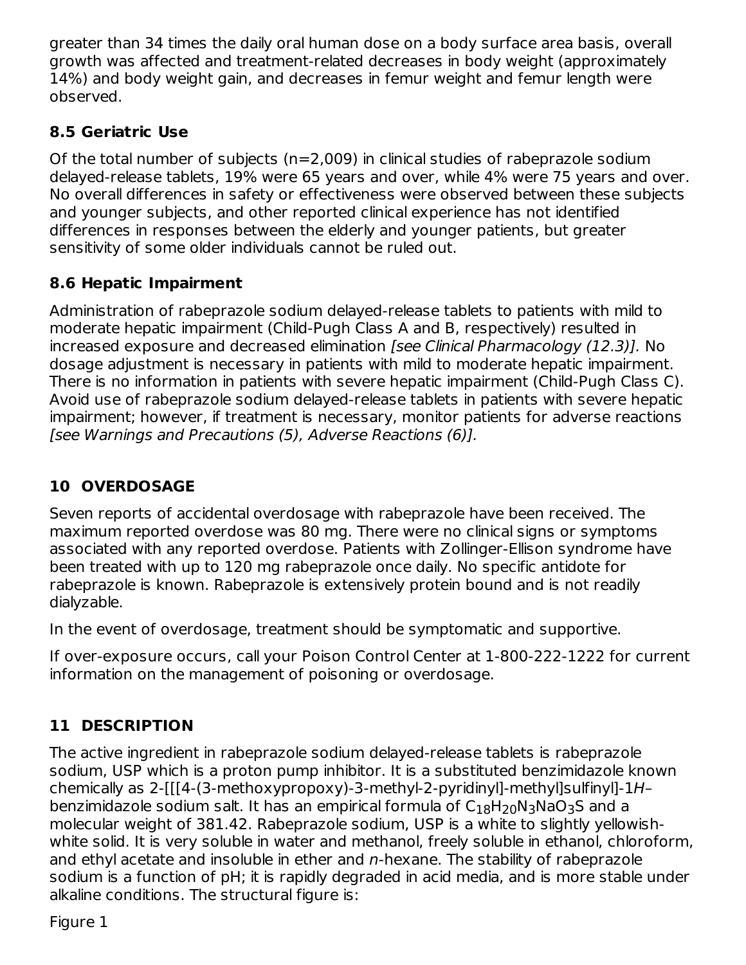greater than 34 times the daily oral human dose on a body surface area basis, overall growth was affected and treatment-related decreases in body weight (approximately 14%) and body weight gain, and decreases in femur weight and femur length were observed.

## **8.5 Geriatric Use**

Of the total number of subjects ( $n=2,009$ ) in clinical studies of rabeprazole sodium delayed-release tablets, 19% were 65 years and over, while 4% were 75 years and over. No overall differences in safety or effectiveness were observed between these subjects and younger subjects, and other reported clinical experience has not identified differences in responses between the elderly and younger patients, but greater sensitivity of some older individuals cannot be ruled out.

## **8.6 Hepatic Impairment**

Administration of rabeprazole sodium delayed-release tablets to patients with mild to moderate hepatic impairment (Child-Pugh Class A and B, respectively) resulted in increased exposure and decreased elimination [see Clinical Pharmacology (12.3)]. No dosage adjustment is necessary in patients with mild to moderate hepatic impairment. There is no information in patients with severe hepatic impairment (Child-Pugh Class C). Avoid use of rabeprazole sodium delayed-release tablets in patients with severe hepatic impairment; however, if treatment is necessary, monitor patients for adverse reactions [see Warnings and Precautions (5), Adverse Reactions (6)].

## **10 OVERDOSAGE**

Seven reports of accidental overdosage with rabeprazole have been received. The maximum reported overdose was 80 mg. There were no clinical signs or symptoms associated with any reported overdose. Patients with Zollinger-Ellison syndrome have been treated with up to 120 mg rabeprazole once daily. No specific antidote for rabeprazole is known. Rabeprazole is extensively protein bound and is not readily dialyzable.

In the event of overdosage, treatment should be symptomatic and supportive.

If over-exposure occurs, call your Poison Control Center at 1-800-222-1222 for current information on the management of poisoning or overdosage.

## **11 DESCRIPTION**

The active ingredient in rabeprazole sodium delayed-release tablets is rabeprazole sodium, USP which is a proton pump inhibitor. It is a substituted benzimidazole known chemically as 2-[[[4-(3-methoxypropoxy)-3-methyl-2-pyridinyl]-methyl]sulfinyl]-1H– benzimidazole sodium salt. It has an empirical formula of  $\mathsf{C}_{18}\mathsf{H}_{20}\mathsf{N}_3\mathsf{NaO}_3\mathsf{S}$  and a molecular weight of 381.42. Rabeprazole sodium, USP is a white to slightly yellowishwhite solid. It is very soluble in water and methanol, freely soluble in ethanol, chloroform, and ethyl acetate and insoluble in ether and  $n$ -hexane. The stability of rabeprazole sodium is a function of pH; it is rapidly degraded in acid media, and is more stable under alkaline conditions. The structural figure is:

Figure 1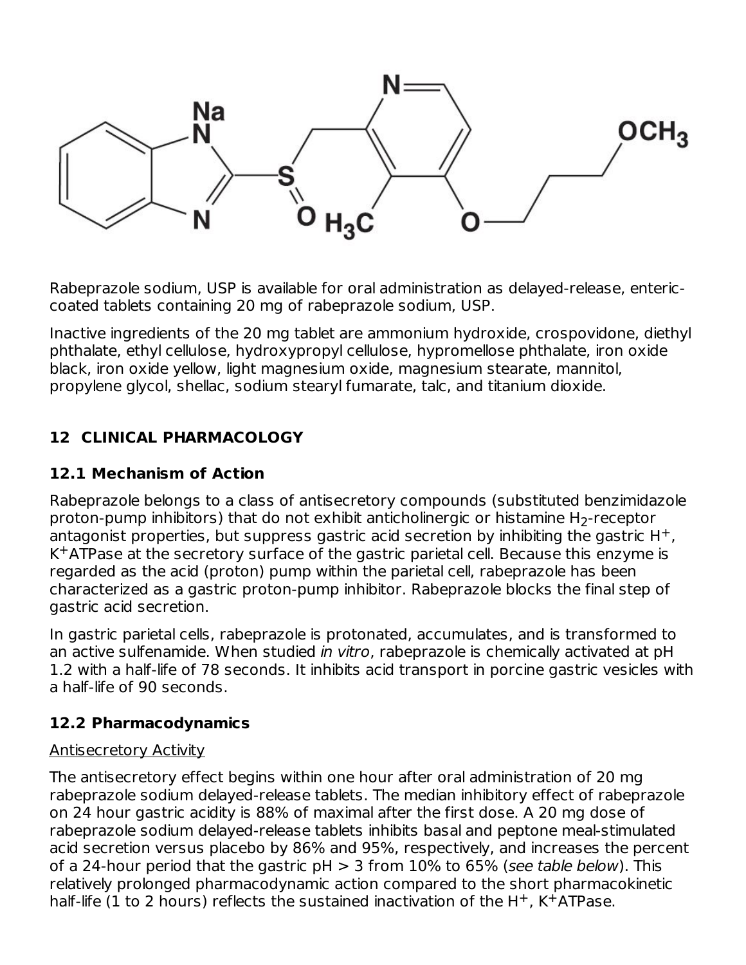

Rabeprazole sodium, USP is available for oral administration as delayed-release, entericcoated tablets containing 20 mg of rabeprazole sodium, USP.

Inactive ingredients of the 20 mg tablet are ammonium hydroxide, crospovidone, diethyl phthalate, ethyl cellulose, hydroxypropyl cellulose, hypromellose phthalate, iron oxide black, iron oxide yellow, light magnesium oxide, magnesium stearate, mannitol, propylene glycol, shellac, sodium stearyl fumarate, talc, and titanium dioxide.

## **12 CLINICAL PHARMACOLOGY**

### **12.1 Mechanism of Action**

Rabeprazole belongs to a class of antisecretory compounds (substituted benzimidazole proton-pump inhibitors) that do not exhibit anticholinergic or histamine  $\mathsf{H}_2$ -receptor antagonist properties, but suppress gastric acid secretion by inhibiting the gastric  $H^+$ ,  $K<sup>+</sup>ATP$ ase at the secretory surface of the gastric parietal cell. Because this enzyme is regarded as the acid (proton) pump within the parietal cell, rabeprazole has been characterized as a gastric proton-pump inhibitor. Rabeprazole blocks the final step of gastric acid secretion.

In gastric parietal cells, rabeprazole is protonated, accumulates, and is transformed to an active sulfenamide. When studied in vitro, rabeprazole is chemically activated at pH 1.2 with a half-life of 78 seconds. It inhibits acid transport in porcine gastric vesicles with a half-life of 90 seconds.

### **12.2 Pharmacodynamics**

### Antisecretory Activity

The antisecretory effect begins within one hour after oral administration of 20 mg rabeprazole sodium delayed-release tablets. The median inhibitory effect of rabeprazole on 24 hour gastric acidity is 88% of maximal after the first dose. A 20 mg dose of rabeprazole sodium delayed-release tablets inhibits basal and peptone meal-stimulated acid secretion versus placebo by 86% and 95%, respectively, and increases the percent of a 24-hour period that the gastric  $pH > 3$  from 10% to 65% (see table below). This relatively prolonged pharmacodynamic action compared to the short pharmacokinetic half-life (1 to 2 hours) reflects the sustained inactivation of the  $H^{+}$ , K $^{+}$ ATPase.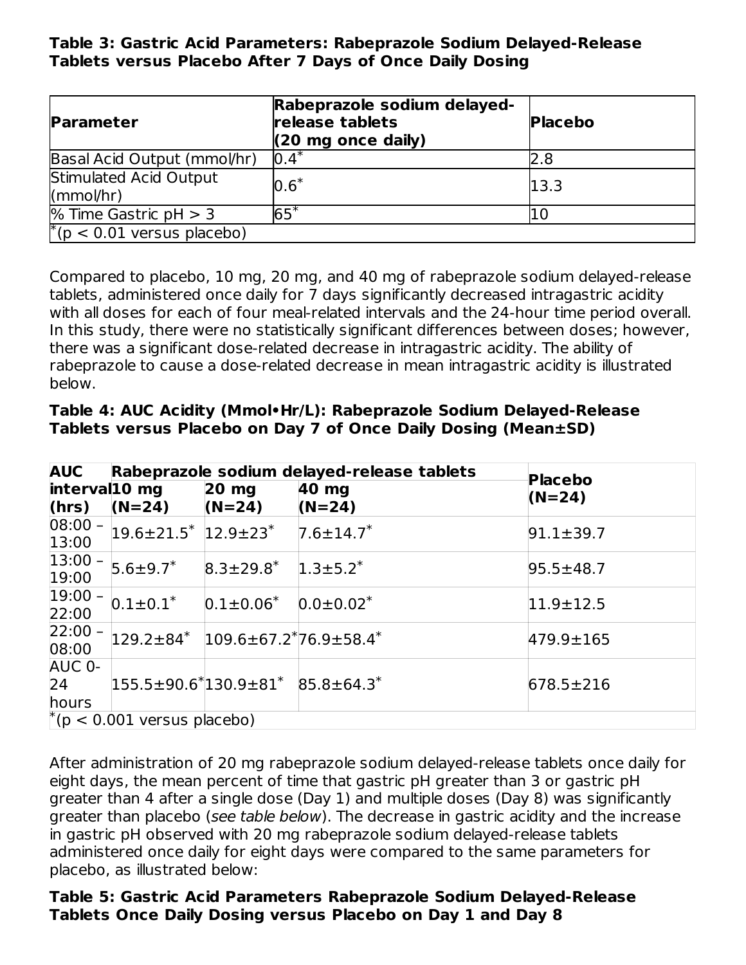**Table 3: Gastric Acid Parameters: Rabeprazole Sodium Delayed-Release Tablets versus Placebo After 7 Days of Once Daily Dosing**

| <b>Parameter</b>                    | Rabeprazole sodium delayed-<br>release tablets<br>$(20 \text{ mg once daily})$ | <b>Placebo</b> |
|-------------------------------------|--------------------------------------------------------------------------------|----------------|
| Basal Acid Output (mmol/hr)         | $0.4*$                                                                         | 2.8            |
| Stimulated Acid Output<br>(mmol/hr) | $0.6*$                                                                         | 13.3           |
| % Time Gastric $pH > 3$             | $65*$                                                                          |                |
| $*(p < 0.01$ versus placebo)        |                                                                                |                |

Compared to placebo, 10 mg, 20 mg, and 40 mg of rabeprazole sodium delayed-release tablets, administered once daily for 7 days significantly decreased intragastric acidity with all doses for each of four meal-related intervals and the 24-hour time period overall. In this study, there were no statistically significant differences between doses; however, there was a significant dose-related decrease in intragastric acidity. The ability of rabeprazole to cause a dose-related decrease in mean intragastric acidity is illustrated below.

| Table 4: AUC Acidity (Mmol•Hr/L): Rabeprazole Sodium Delayed-Release |
|----------------------------------------------------------------------|
| Tablets versus Placebo on Day 7 of Once Daily Dosing (Mean±SD)       |

| <b>AUC</b>                         | Rabeprazole sodium delayed-release tablets |                                                       |                             | Placebo         |  |
|------------------------------------|--------------------------------------------|-------------------------------------------------------|-----------------------------|-----------------|--|
| interval10 mg                      |                                            | $20$ mg                                               | 40 mg                       | $(N=24)$        |  |
| (hrs)                              | $(N=24)$                                   | $(N=24)$                                              | $(N=24)$                    |                 |  |
| $08:00 -$<br>13:00                 | $19.6 \pm 21.5$ $12.9 \pm 23$ $*$          |                                                       | $7.6 \pm 14.7$ <sup>*</sup> | $91.1 \pm 39.7$ |  |
| $ 13:00 -$<br>19:00                | $5.6 \pm 9.7$ *                            | $8.3\pm29.8^*$ 1.3 $\pm5.2^*$                         |                             | $95.5 \pm 48.7$ |  |
| $ 19:00 -$<br>22:00                | $0.1 \pm 0.1^*$                            | $0.1 \pm 0.06^*$                                      | $0.0 \pm 0.02^*$            | $11.9 \pm 12.5$ |  |
| $22:00 -$<br>08:00                 |                                            | $129.2\pm84*$ 109.6 $\pm67.2*76.9\pm58.4*$            |                             | 479.9±165       |  |
| AUC 0-<br>24<br>hours              |                                            | $155.5 \pm 90.6^*$ 130.9 $\pm 81^*$ 85.8 $\pm 64.3^*$ |                             | $678.5 \pm 216$ |  |
| $\vert$ (p < 0.001 versus placebo) |                                            |                                                       |                             |                 |  |

After administration of 20 mg rabeprazole sodium delayed-release tablets once daily for eight days, the mean percent of time that gastric pH greater than 3 or gastric pH greater than 4 after a single dose (Day 1) and multiple doses (Day 8) was significantly greater than placebo (see table below). The decrease in gastric acidity and the increase in gastric pH observed with 20 mg rabeprazole sodium delayed-release tablets administered once daily for eight days were compared to the same parameters for placebo, as illustrated below:

#### **Table 5: Gastric Acid Parameters Rabeprazole Sodium Delayed-Release Tablets Once Daily Dosing versus Placebo on Day 1 and Day 8**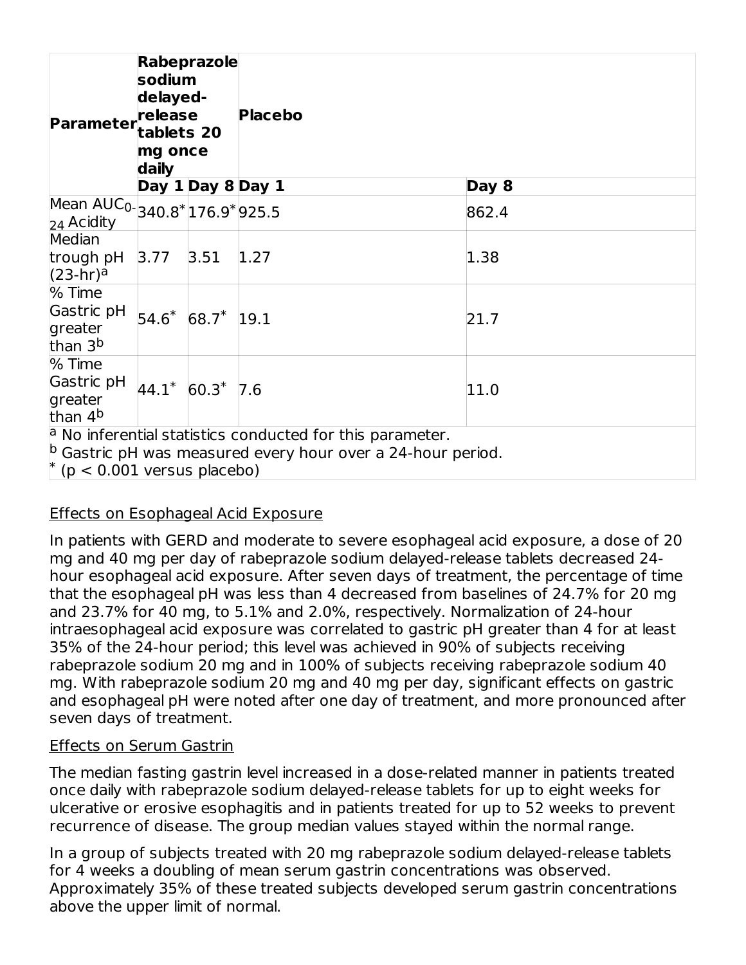| <b>Parameter</b>                                                                                                                                                                       | Rabeprazole<br>sodium<br>delayed-<br>release<br>tablets 20<br>mg once<br>daily |                   | <b>Placebo</b> |       |
|----------------------------------------------------------------------------------------------------------------------------------------------------------------------------------------|--------------------------------------------------------------------------------|-------------------|----------------|-------|
|                                                                                                                                                                                        |                                                                                | Day 1 Day 8 Day 1 |                | Day 8 |
| Mean AUC <sub>0</sub> -340.8 <sup>*</sup> 176.9 <sup>*</sup> 925.5<br>24 Acidity                                                                                                       |                                                                                |                   |                | 862.4 |
| Median<br>trough pH<br>$(23-hr)^a$                                                                                                                                                     | 3.77                                                                           | 3.51              | 1.27           | 1.38  |
| % Time<br>Gastric pH<br>greater<br>than 3 <sup>b</sup>                                                                                                                                 | $54.6*$                                                                        | $68.7*$ 19.1      |                | 21.7  |
| % Time<br>Gastric pH<br>greater<br>than 4 <sup>b</sup>                                                                                                                                 |                                                                                | $44.1* 60.3* 7.6$ |                | 11.0  |
| $\alpha$ No inferential statistics conducted for this parameter.<br>$\vert$ <sup>p</sup> Gastric pH was measured every hour over a 24-hour period.<br>$\mu$ (p < 0.001 versus placebo) |                                                                                |                   |                |       |

### Effects on Esophageal Acid Exposure

In patients with GERD and moderate to severe esophageal acid exposure, a dose of 20 mg and 40 mg per day of rabeprazole sodium delayed-release tablets decreased 24 hour esophageal acid exposure. After seven days of treatment, the percentage of time that the esophageal pH was less than 4 decreased from baselines of 24.7% for 20 mg and 23.7% for 40 mg, to 5.1% and 2.0%, respectively. Normalization of 24-hour intraesophageal acid exposure was correlated to gastric pH greater than 4 for at least 35% of the 24-hour period; this level was achieved in 90% of subjects receiving rabeprazole sodium 20 mg and in 100% of subjects receiving rabeprazole sodium 40 mg. With rabeprazole sodium 20 mg and 40 mg per day, significant effects on gastric and esophageal pH were noted after one day of treatment, and more pronounced after seven days of treatment.

#### Effects on Serum Gastrin

The median fasting gastrin level increased in a dose-related manner in patients treated once daily with rabeprazole sodium delayed-release tablets for up to eight weeks for ulcerative or erosive esophagitis and in patients treated for up to 52 weeks to prevent recurrence of disease. The group median values stayed within the normal range.

In a group of subjects treated with 20 mg rabeprazole sodium delayed-release tablets for 4 weeks a doubling of mean serum gastrin concentrations was observed. Approximately 35% of these treated subjects developed serum gastrin concentrations above the upper limit of normal.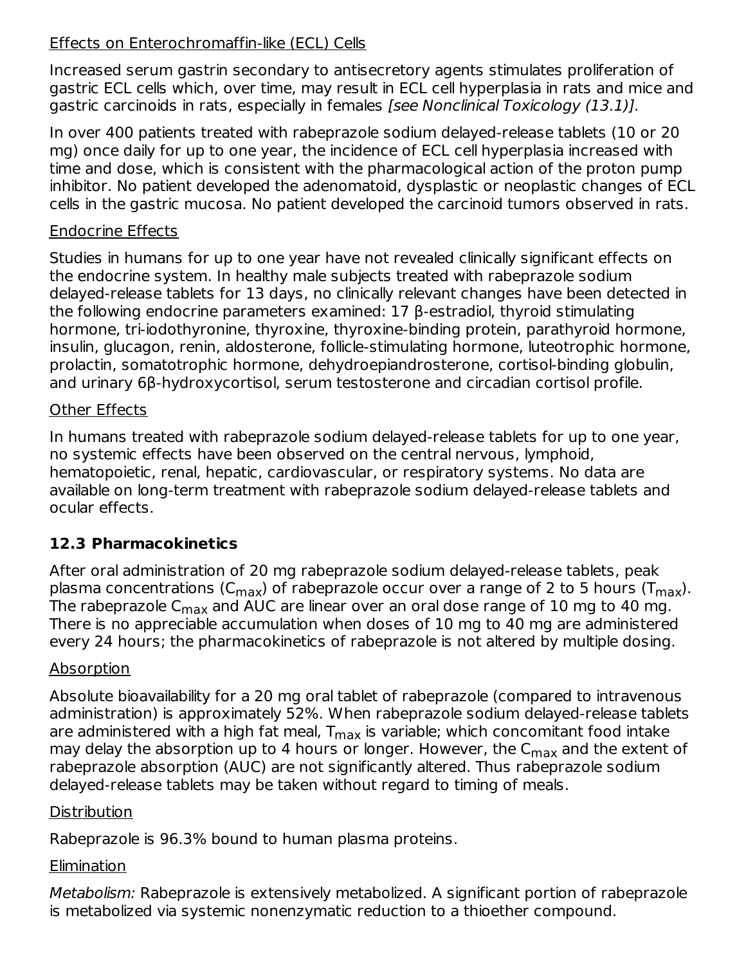### Effects on Enterochromaffin-like (ECL) Cells

Increased serum gastrin secondary to antisecretory agents stimulates proliferation of gastric ECL cells which, over time, may result in ECL cell hyperplasia in rats and mice and gastric carcinoids in rats, especially in females [see Nonclinical Toxicology (13.1)].

In over 400 patients treated with rabeprazole sodium delayed-release tablets (10 or 20 mg) once daily for up to one year, the incidence of ECL cell hyperplasia increased with time and dose, which is consistent with the pharmacological action of the proton pump inhibitor. No patient developed the adenomatoid, dysplastic or neoplastic changes of ECL cells in the gastric mucosa. No patient developed the carcinoid tumors observed in rats.

#### Endocrine Effects

Studies in humans for up to one year have not revealed clinically significant effects on the endocrine system. In healthy male subjects treated with rabeprazole sodium delayed-release tablets for 13 days, no clinically relevant changes have been detected in the following endocrine parameters examined: 17 β-estradiol, thyroid stimulating hormone, tri-iodothyronine, thyroxine, thyroxine-binding protein, parathyroid hormone, insulin, glucagon, renin, aldosterone, follicle-stimulating hormone, luteotrophic hormone, prolactin, somatotrophic hormone, dehydroepiandrosterone, cortisol-binding globulin, and urinary 6β-hydroxycortisol, serum testosterone and circadian cortisol profile.

#### Other Effects

In humans treated with rabeprazole sodium delayed-release tablets for up to one year, no systemic effects have been observed on the central nervous, lymphoid, hematopoietic, renal, hepatic, cardiovascular, or respiratory systems. No data are available on long-term treatment with rabeprazole sodium delayed-release tablets and ocular effects.

### **12.3 Pharmacokinetics**

After oral administration of 20 mg rabeprazole sodium delayed-release tablets, peak plasma concentrations (C $_{\sf max}$ ) of rabeprazole occur over a range of 2 to 5 hours (T $_{\sf max}$ ). The rabeprazole C $_{\sf max}$  and AUC are linear over an oral dose range of  $10$  mg to 40 mg. There is no appreciable accumulation when doses of 10 mg to 40 mg are administered every 24 hours; the pharmacokinetics of rabeprazole is not altered by multiple dosing.

### Absorption

Absolute bioavailability for a 20 mg oral tablet of rabeprazole (compared to intravenous administration) is approximately 52%. When rabeprazole sodium delayed-release tablets are administered with a high fat meal,  ${\mathsf T}_{\mathsf{max}}$  is variable; which concomitant food intake may delay the absorption up to 4 hours or longer. However, the C<sub>max</sub> and the extent of rabeprazole absorption (AUC) are not significantly altered. Thus rabeprazole sodium delayed-release tablets may be taken without regard to timing of meals.

### **Distribution**

Rabeprazole is 96.3% bound to human plasma proteins.

## Elimination

Metabolism: Rabeprazole is extensively metabolized. A significant portion of rabeprazole is metabolized via systemic nonenzymatic reduction to a thioether compound.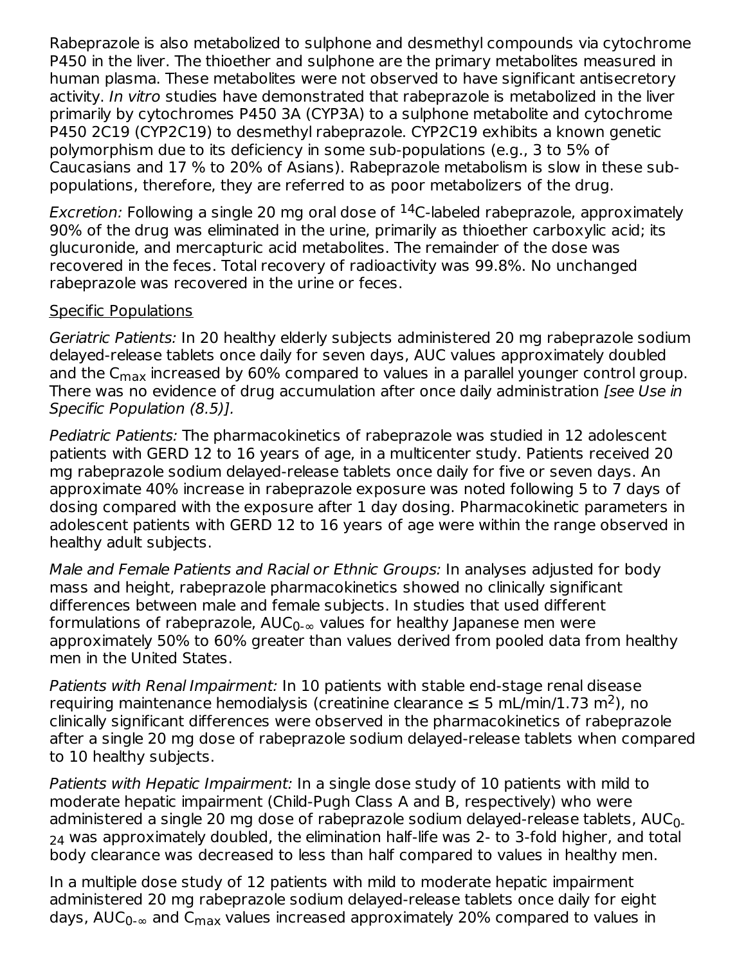Rabeprazole is also metabolized to sulphone and desmethyl compounds via cytochrome P450 in the liver. The thioether and sulphone are the primary metabolites measured in human plasma. These metabolites were not observed to have significant antisecretory activity. In vitro studies have demonstrated that rabeprazole is metabolized in the liver primarily by cytochromes P450 3A (CYP3A) to a sulphone metabolite and cytochrome P450 2C19 (CYP2C19) to desmethyl rabeprazole. CYP2C19 exhibits a known genetic polymorphism due to its deficiency in some sub-populations (e.g., 3 to 5% of Caucasians and 17 % to 20% of Asians). Rabeprazole metabolism is slow in these subpopulations, therefore, they are referred to as poor metabolizers of the drug.

*Excretion:* Following a single 20 mg oral dose of  $^{14}$ C-labeled rabeprazole, approximately 90% of the drug was eliminated in the urine, primarily as thioether carboxylic acid; its glucuronide, and mercapturic acid metabolites. The remainder of the dose was recovered in the feces. Total recovery of radioactivity was 99.8%. No unchanged rabeprazole was recovered in the urine or feces.

#### Specific Populations

Geriatric Patients: In 20 healthy elderly subjects administered 20 mg rabeprazole sodium delayed-release tablets once daily for seven days, AUC values approximately doubled and the C<sub>max</sub> increased by 60% compared to values in a parallel younger control group. There was no evidence of drug accumulation after once daily administration *[see Use in*] Specific Population (8.5)].

Pediatric Patients: The pharmacokinetics of rabeprazole was studied in 12 adolescent patients with GERD 12 to 16 years of age, in a multicenter study. Patients received 20 mg rabeprazole sodium delayed-release tablets once daily for five or seven days. An approximate 40% increase in rabeprazole exposure was noted following 5 to 7 days of dosing compared with the exposure after 1 day dosing. Pharmacokinetic parameters in adolescent patients with GERD 12 to 16 years of age were within the range observed in healthy adult subjects.

Male and Female Patients and Racial or Ethnic Groups: In analyses adjusted for body mass and height, rabeprazole pharmacokinetics showed no clinically significant differences between male and female subjects. In studies that used different formulations of rabeprazole, AUC $_{0\text{-}\infty}$  values for healthy Japanese men were approximately 50% to 60% greater than values derived from pooled data from healthy men in the United States.

Patients with Renal Impairment: In 10 patients with stable end-stage renal disease requiring maintenance hemodialysis (creatinine clearance  $\leq 5$  mL/min/1.73 m<sup>2</sup>), no clinically significant differences were observed in the pharmacokinetics of rabeprazole after a single 20 mg dose of rabeprazole sodium delayed-release tablets when compared to 10 healthy subjects.

Patients with Hepatic Impairment: In a single dose study of 10 patients with mild to moderate hepatic impairment (Child-Pugh Class A and B, respectively) who were administered a single 20 mg dose of rabeprazole sodium delayed-release tablets, AUC $_{\rm 0}$ . was approximately doubled, the elimination half-life was 2- to 3-fold higher, and total 24 body clearance was decreased to less than half compared to values in healthy men.

In a multiple dose study of 12 patients with mild to moderate hepatic impairment administered 20 mg rabeprazole sodium delayed-release tablets once daily for eight days, AUC $_{0\text{-}\infty}$  and C $_{\text{max}}$  values increased approximately 20% compared to values in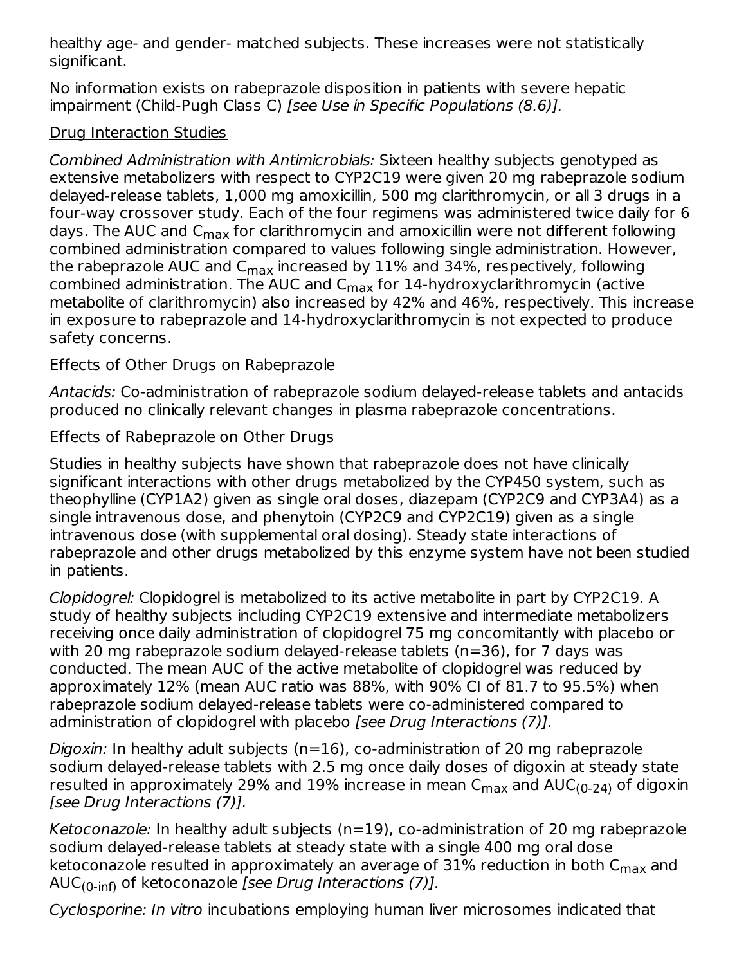healthy age- and gender- matched subjects. These increases were not statistically significant.

No information exists on rabeprazole disposition in patients with severe hepatic impairment (Child-Pugh Class C) [see Use in Specific Populations (8.6)].

### Drug Interaction Studies

Combined Administration with Antimicrobials: Sixteen healthy subjects genotyped as extensive metabolizers with respect to CYP2C19 were given 20 mg rabeprazole sodium delayed-release tablets, 1,000 mg amoxicillin, 500 mg clarithromycin, or all 3 drugs in a four-way crossover study. Each of the four regimens was administered twice daily for 6 days. The AUC and C<sub>max</sub> for clarithromycin and amoxicillin were not different following combined administration compared to values following single administration. However, the rabeprazole AUC and  $\mathsf{C}_{\mathsf{max}}$  increased by  $11\%$  and 34%, respectively, following combined administration. The AUC and C<sub>max</sub> for 14-hydroxyclarithromycin (active metabolite of clarithromycin) also increased by 42% and 46%, respectively. This increase in exposure to rabeprazole and 14-hydroxyclarithromycin is not expected to produce safety concerns.

Effects of Other Drugs on Rabeprazole

Antacids: Co-administration of rabeprazole sodium delayed-release tablets and antacids produced no clinically relevant changes in plasma rabeprazole concentrations.

Effects of Rabeprazole on Other Drugs

Studies in healthy subjects have shown that rabeprazole does not have clinically significant interactions with other drugs metabolized by the CYP450 system, such as theophylline (CYP1A2) given as single oral doses, diazepam (CYP2C9 and CYP3A4) as a single intravenous dose, and phenytoin (CYP2C9 and CYP2C19) given as a single intravenous dose (with supplemental oral dosing). Steady state interactions of rabeprazole and other drugs metabolized by this enzyme system have not been studied in patients.

Clopidogrel: Clopidogrel is metabolized to its active metabolite in part by CYP2C19. A study of healthy subjects including CYP2C19 extensive and intermediate metabolizers receiving once daily administration of clopidogrel 75 mg concomitantly with placebo or with 20 mg rabeprazole sodium delayed-release tablets (n=36), for 7 days was conducted. The mean AUC of the active metabolite of clopidogrel was reduced by approximately 12% (mean AUC ratio was 88%, with 90% CI of 81.7 to 95.5%) when rabeprazole sodium delayed-release tablets were co-administered compared to administration of clopidogrel with placebo [see Drug Interactions (7)].

*Digoxin:* In healthy adult subjects ( $n=16$ ), co-administration of 20 mg rabeprazole sodium delayed-release tablets with 2.5 mg once daily doses of digoxin at steady state resulted in approximately 29% and 19% increase in mean  $\mathsf{C}_{\mathsf{max}}$  and  $\mathsf{AUC_{(0\text{-}24)}}$  of digoxin [see Drug Interactions (7)].

Ketoconazole: In healthy adult subjects (n=19), co-administration of 20 mg rabeprazole sodium delayed-release tablets at steady state with a single 400 mg oral dose ketoconazole resulted in approximately an average of 31% reduction in both  ${\sf C}_{\sf max}$  and AUC<sub>(0-inf)</sub> of ketoconazole *[see Drug Interactions (7)].* 

Cyclosporine: In vitro incubations employing human liver microsomes indicated that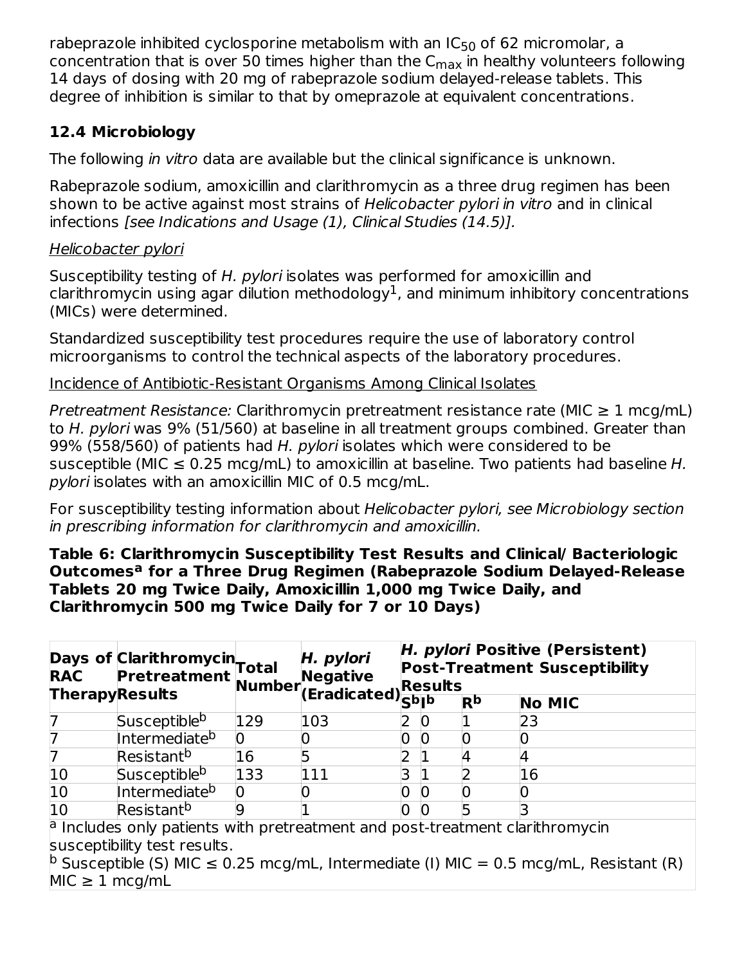rabeprazole inhibited cyclosporine metabolism with an IC $_{50}$  of 62 micromolar, a concentration that is over 50 times higher than the  $\mathsf{C}_{\mathsf{max}}$  in healthy volunteers following 14 days of dosing with 20 mg of rabeprazole sodium delayed-release tablets. This degree of inhibition is similar to that by omeprazole at equivalent concentrations.

### **12.4 Microbiology**

The following in vitro data are available but the clinical significance is unknown.

Rabeprazole sodium, amoxicillin and clarithromycin as a three drug regimen has been shown to be active against most strains of Helicobacter pylori in vitro and in clinical infections [see Indications and Usage (1), Clinical Studies (14.5)].

### Helicobacter pylori

Susceptibility testing of H. pylori isolates was performed for amoxicillin and clarithromycin using agar dilution methodology $^1$ , and minimum inhibitory concentrations (MICs) were determined.

Standardized susceptibility test procedures require the use of laboratory control microorganisms to control the technical aspects of the laboratory procedures.

Incidence of Antibiotic-Resistant Organisms Among Clinical Isolates

Pretreatment Resistance: Clarithromycin pretreatment resistance rate (MIC  $\geq 1$  mcg/mL) to H. pylori was 9% (51/560) at baseline in all treatment groups combined. Greater than 99% (558/560) of patients had H. pylori isolates which were considered to be susceptible (MIC  $\leq$  0.25 mcg/mL) to amoxicillin at baseline. Two patients had baseline H. pylori isolates with an amoxicillin MIC of 0.5 mcg/mL.

For susceptibility testing information about Helicobacter pylori, see Microbiology section in prescribing information for clarithromycin and amoxicillin.

#### **Table 6: Clarithromycin Susceptibility Test Results and Clinical/ Bacteriologic Outcomes for a Three Drug Regimen (Rabeprazole Sodium Delayed-Release a Tablets 20 mg Twice Daily, Amoxicillin 1,000 mg Twice Daily, and Clarithromycin 500 mg Twice Daily for 7 or 10 Days)**

|                                                                                                                           |                           |     | Days of Clarithromycin Total H. Pylori Post-7<br>RAC Pretreatment Number (Eradicated) Resul | H. pylori Positive (Persistent)<br><b>Post-Treatment Susceptibility</b><br>Results |  |                |               |  |
|---------------------------------------------------------------------------------------------------------------------------|---------------------------|-----|---------------------------------------------------------------------------------------------|------------------------------------------------------------------------------------|--|----------------|---------------|--|
|                                                                                                                           |                           |     |                                                                                             |                                                                                    |  | R <sub>p</sub> | <b>No MIC</b> |  |
| 7                                                                                                                         | Susceptible <sup>b</sup>  | 129 | 103                                                                                         |                                                                                    |  |                | 23            |  |
| 7                                                                                                                         | Intermediate <sup>b</sup> |     |                                                                                             | 0                                                                                  |  | 0              |               |  |
| 7                                                                                                                         | Resistant <sup>b</sup>    | 16  |                                                                                             |                                                                                    |  |                |               |  |
| 10                                                                                                                        | Susceptible <sup>b</sup>  | 133 | 111                                                                                         |                                                                                    |  |                | 16            |  |
| $\overline{10}$                                                                                                           | Intermediate <sup>b</sup> |     |                                                                                             |                                                                                    |  |                |               |  |
| $\overline{10}$                                                                                                           | Resistant <sup>b</sup>    |     |                                                                                             | O                                                                                  |  |                |               |  |
| $\,{}^{\circ}$ Includes only patients with pretreatment and post-treatment clarithromycin<br>susceptibility test results. |                           |     |                                                                                             |                                                                                    |  |                |               |  |
| <b>D</b> Susceptible (S) MIC $\leq$ 0.25 mcg/mL, Intermediate (I) MIC = 0.5 mcg/mL, Resistant (R)<br>$MIC \geq 1$ mcg/mL  |                           |     |                                                                                             |                                                                                    |  |                |               |  |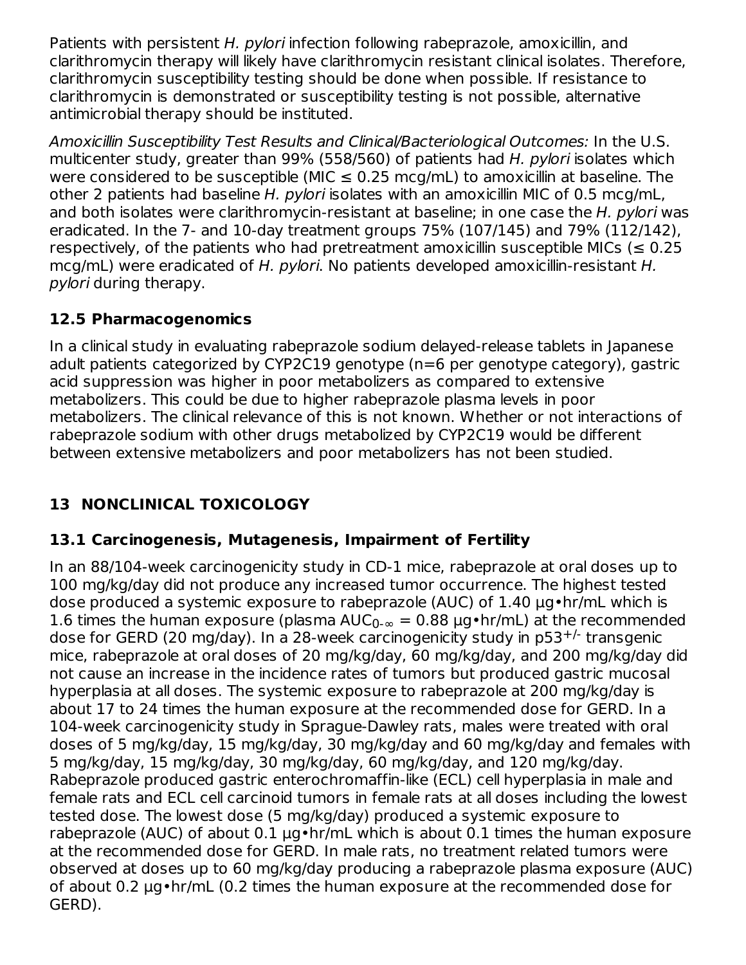Patients with persistent H. pylori infection following rabeprazole, amoxicillin, and clarithromycin therapy will likely have clarithromycin resistant clinical isolates. Therefore, clarithromycin susceptibility testing should be done when possible. If resistance to clarithromycin is demonstrated or susceptibility testing is not possible, alternative antimicrobial therapy should be instituted.

Amoxicillin Susceptibility Test Results and Clinical/Bacteriological Outcomes: In the U.S. multicenter study, greater than 99% (558/560) of patients had H. pylori isolates which were considered to be susceptible (MIC  $\leq$  0.25 mcg/mL) to amoxicillin at baseline. The other 2 patients had baseline H. pylori isolates with an amoxicillin MIC of 0.5 mcg/mL, and both isolates were clarithromycin-resistant at baseline; in one case the H. pylori was eradicated. In the 7- and 10-day treatment groups 75% (107/145) and 79% (112/142), respectively, of the patients who had pretreatment amoxicillin susceptible MICs ( $\leq 0.25$ ) mcg/mL) were eradicated of H. pylori. No patients developed amoxicillin-resistant H. pylori during therapy.

### **12.5 Pharmacogenomics**

In a clinical study in evaluating rabeprazole sodium delayed-release tablets in Japanese adult patients categorized by CYP2C19 genotype (n=6 per genotype category), gastric acid suppression was higher in poor metabolizers as compared to extensive metabolizers. This could be due to higher rabeprazole plasma levels in poor metabolizers. The clinical relevance of this is not known. Whether or not interactions of rabeprazole sodium with other drugs metabolized by CYP2C19 would be different between extensive metabolizers and poor metabolizers has not been studied.

## **13 NONCLINICAL TOXICOLOGY**

## **13.1 Carcinogenesis, Mutagenesis, Impairment of Fertility**

In an 88/104-week carcinogenicity study in CD-1 mice, rabeprazole at oral doses up to 100 mg/kg/day did not produce any increased tumor occurrence. The highest tested dose produced a systemic exposure to rabeprazole (AUC) of 1.40 µg•hr/mL which is 1.6 times the human exposure (plasma  $AUC_{0-\infty} = 0.88 \mu g \cdot hr/mL$ ) at the recommended dose for GERD (20 mg/day). In a 28-week carcinogenicity study in  $p53^{+/}$  transgenic mice, rabeprazole at oral doses of 20 mg/kg/day, 60 mg/kg/day, and 200 mg/kg/day did not cause an increase in the incidence rates of tumors but produced gastric mucosal hyperplasia at all doses. The systemic exposure to rabeprazole at 200 mg/kg/day is about 17 to 24 times the human exposure at the recommended dose for GERD. In a 104-week carcinogenicity study in Sprague-Dawley rats, males were treated with oral doses of 5 mg/kg/day, 15 mg/kg/day, 30 mg/kg/day and 60 mg/kg/day and females with 5 mg/kg/day, 15 mg/kg/day, 30 mg/kg/day, 60 mg/kg/day, and 120 mg/kg/day. Rabeprazole produced gastric enterochromaffin-like (ECL) cell hyperplasia in male and female rats and ECL cell carcinoid tumors in female rats at all doses including the lowest tested dose. The lowest dose (5 mg/kg/day) produced a systemic exposure to rabeprazole (AUC) of about 0.1 µg•hr/mL which is about 0.1 times the human exposure at the recommended dose for GERD. In male rats, no treatment related tumors were observed at doses up to 60 mg/kg/day producing a rabeprazole plasma exposure (AUC) of about 0.2 µg•hr/mL (0.2 times the human exposure at the recommended dose for GERD).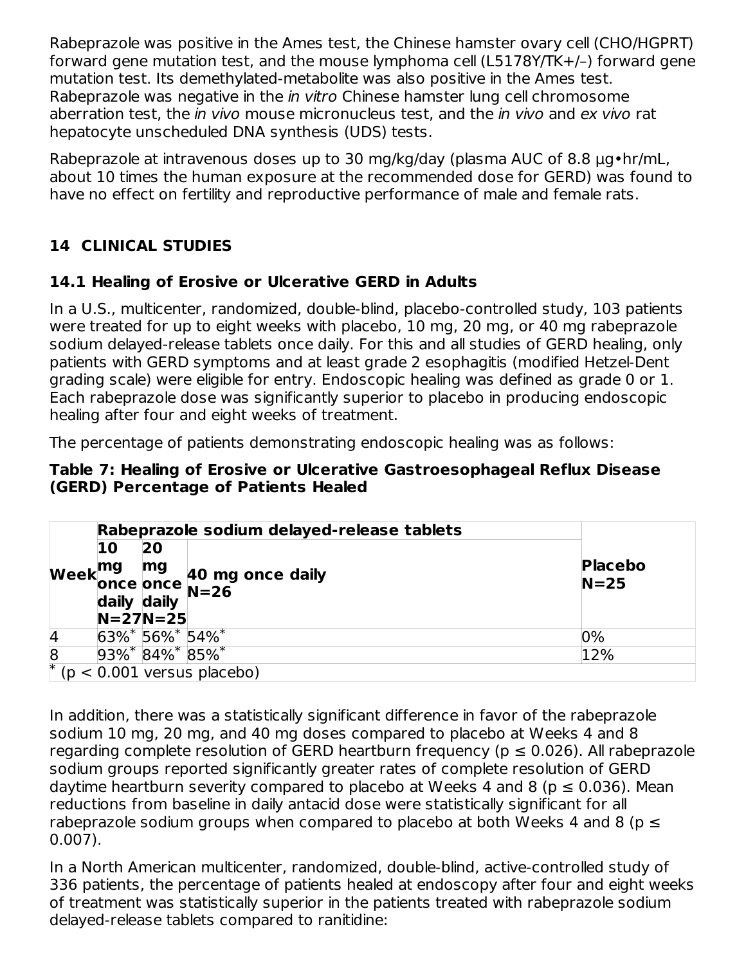Rabeprazole was positive in the Ames test, the Chinese hamster ovary cell (CHO/HGPRT) forward gene mutation test, and the mouse lymphoma cell (L5178Y/TK+/–) forward gene mutation test. Its demethylated-metabolite was also positive in the Ames test. Rabeprazole was negative in the *in vitro* Chinese hamster lung cell chromosome aberration test, the in vivo mouse micronucleus test, and the in vivo and ex vivo rat hepatocyte unscheduled DNA synthesis (UDS) tests.

Rabeprazole at intravenous doses up to 30 mg/kg/day (plasma AUC of 8.8  $\mu$ g•hr/mL, about 10 times the human exposure at the recommended dose for GERD) was found to have no effect on fertility and reproductive performance of male and female rats.

## **14 CLINICAL STUDIES**

## **14.1 Healing of Erosive or Ulcerative GERD in Adults**

In a U.S., multicenter, randomized, double-blind, placebo-controlled study, 103 patients were treated for up to eight weeks with placebo, 10 mg, 20 mg, or 40 mg rabeprazole sodium delayed-release tablets once daily. For this and all studies of GERD healing, only patients with GERD symptoms and at least grade 2 esophagitis (modified Hetzel-Dent grading scale) were eligible for entry. Endoscopic healing was defined as grade 0 or 1. Each rabeprazole dose was significantly superior to placebo in producing endoscopic healing after four and eight weeks of treatment.

The percentage of patients demonstrating endoscopic healing was as follows:

#### **Table 7: Healing of Erosive or Ulcerative Gastroesophageal Reflux Disease (GERD) Percentage of Patients Healed**

|                |    |                      | Rabeprazole sodium delayed-release tablets                                                                                                                                        |                |  |  |
|----------------|----|----------------------|-----------------------------------------------------------------------------------------------------------------------------------------------------------------------------------|----------------|--|--|
|                | 10 | 20                   |                                                                                                                                                                                   |                |  |  |
|                |    |                      | Week $\begin{array}{c} \mathsf{mg} \\ \mathsf{once} \\ \mathsf{daily} \end{array} \begin{array}{c} \mathsf{mg} \\ \mathsf{40} \\ \mathsf{N} = 26 \end{array}$<br>40 mg once daily | <b>Placebo</b> |  |  |
|                |    |                      |                                                                                                                                                                                   | $N = 25$       |  |  |
|                |    |                      |                                                                                                                                                                                   |                |  |  |
|                |    | $N = 27N = 25$       |                                                                                                                                                                                   |                |  |  |
| $\overline{A}$ |    | $63\%$ 56%* 54%*     |                                                                                                                                                                                   | 0%             |  |  |
| $\overline{8}$ |    | $93\%$ $84\%$ $85\%$ |                                                                                                                                                                                   | 12%            |  |  |
|                |    |                      | $(p < 0.001$ versus placebo)                                                                                                                                                      |                |  |  |

In addition, there was a statistically significant difference in favor of the rabeprazole sodium 10 mg, 20 mg, and 40 mg doses compared to placebo at Weeks 4 and 8 regarding complete resolution of GERD heartburn frequency ( $p \le 0.026$ ). All rabeprazole sodium groups reported significantly greater rates of complete resolution of GERD daytime heartburn severity compared to placebo at Weeks 4 and 8 ( $p \le 0.036$ ). Mean reductions from baseline in daily antacid dose were statistically significant for all rabeprazole sodium groups when compared to placebo at both Weeks 4 and 8 ( $p \leq$ 0.007).

In a North American multicenter, randomized, double-blind, active-controlled study of 336 patients, the percentage of patients healed at endoscopy after four and eight weeks of treatment was statistically superior in the patients treated with rabeprazole sodium delayed-release tablets compared to ranitidine: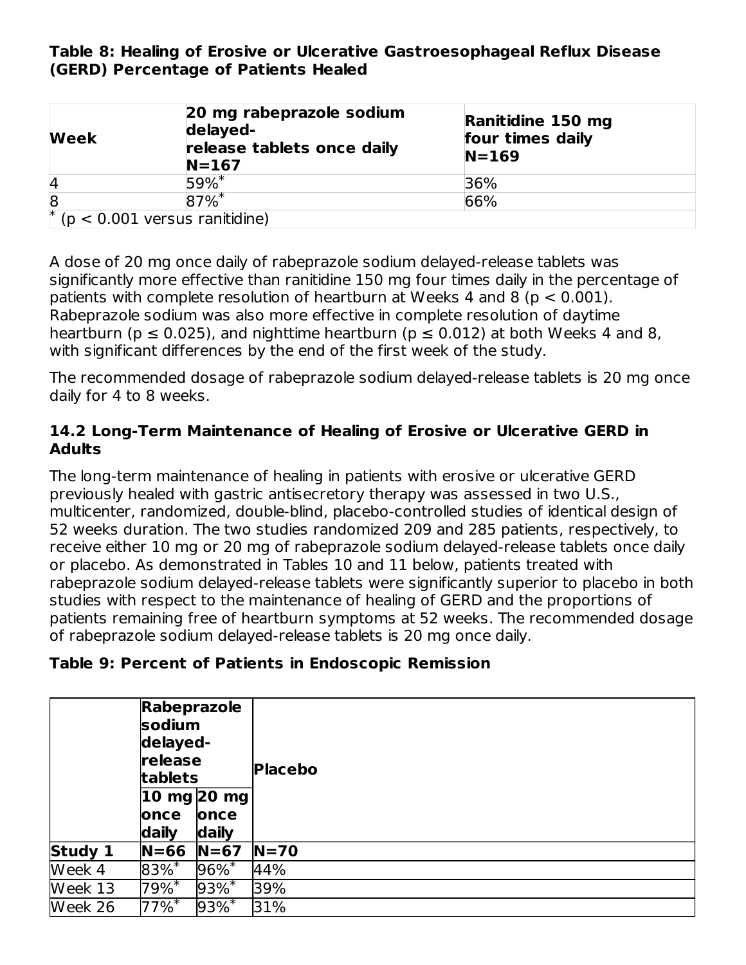#### **Table 8: Healing of Erosive or Ulcerative Gastroesophageal Reflux Disease (GERD) Percentage of Patients Healed**

| <b>Week</b>                     | 20 mg rabeprazole sodium<br>delayed-<br>release tablets once daily<br>$N = 167$ | Ranitidine 150 mg<br>four times daily<br>$N = 169$ |
|---------------------------------|---------------------------------------------------------------------------------|----------------------------------------------------|
| 4                               | $59%$ *                                                                         | 36%                                                |
| $\overline{8}$                  | $87\%$ <sup>*</sup>                                                             | 66%                                                |
| $(p < 0.001$ versus ranitidine) |                                                                                 |                                                    |

A dose of 20 mg once daily of rabeprazole sodium delayed-release tablets was significantly more effective than ranitidine 150 mg four times daily in the percentage of patients with complete resolution of heartburn at Weeks 4 and 8 ( $p < 0.001$ ). Rabeprazole sodium was also more effective in complete resolution of daytime heartburn ( $p \le 0.025$ ), and nighttime heartburn ( $p \le 0.012$ ) at both Weeks 4 and 8, with significant differences by the end of the first week of the study.

The recommended dosage of rabeprazole sodium delayed-release tablets is 20 mg once daily for 4 to 8 weeks.

#### **14.2 Long-Term Maintenance of Healing of Erosive or Ulcerative GERD in Adults**

The long-term maintenance of healing in patients with erosive or ulcerative GERD previously healed with gastric antisecretory therapy was assessed in two U.S., multicenter, randomized, double-blind, placebo-controlled studies of identical design of 52 weeks duration. The two studies randomized 209 and 285 patients, respectively, to receive either 10 mg or 20 mg of rabeprazole sodium delayed-release tablets once daily or placebo. As demonstrated in Tables 10 and 11 below, patients treated with rabeprazole sodium delayed-release tablets were significantly superior to placebo in both studies with respect to the maintenance of healing of GERD and the proportions of patients remaining free of heartburn symptoms at 52 weeks. The recommended dosage of rabeprazole sodium delayed-release tablets is 20 mg once daily.

### **Table 9: Percent of Patients in Endoscopic Remission**

|         | <b>Rabeprazole</b><br>sodium<br>delayed-<br>release<br>tablets<br>$ 10 \text{ mg} 20 \text{ mg}$ |                     | <b>Placebo</b> |
|---------|--------------------------------------------------------------------------------------------------|---------------------|----------------|
|         | once<br>daily                                                                                    | lonce<br>daily      |                |
| Study 1 | $N = 66$                                                                                         | $N=67$              | $N=70$         |
| Week 4  | $83\%$ *                                                                                         | $96\%$ *            | 44%            |
| Week 13 | $79%$ <sup>*</sup>                                                                               | $93\%$ *            | 39%            |
| Week 26 | $77\%$ <sup>*</sup>                                                                              | $93\%$ <sup>*</sup> | 31%            |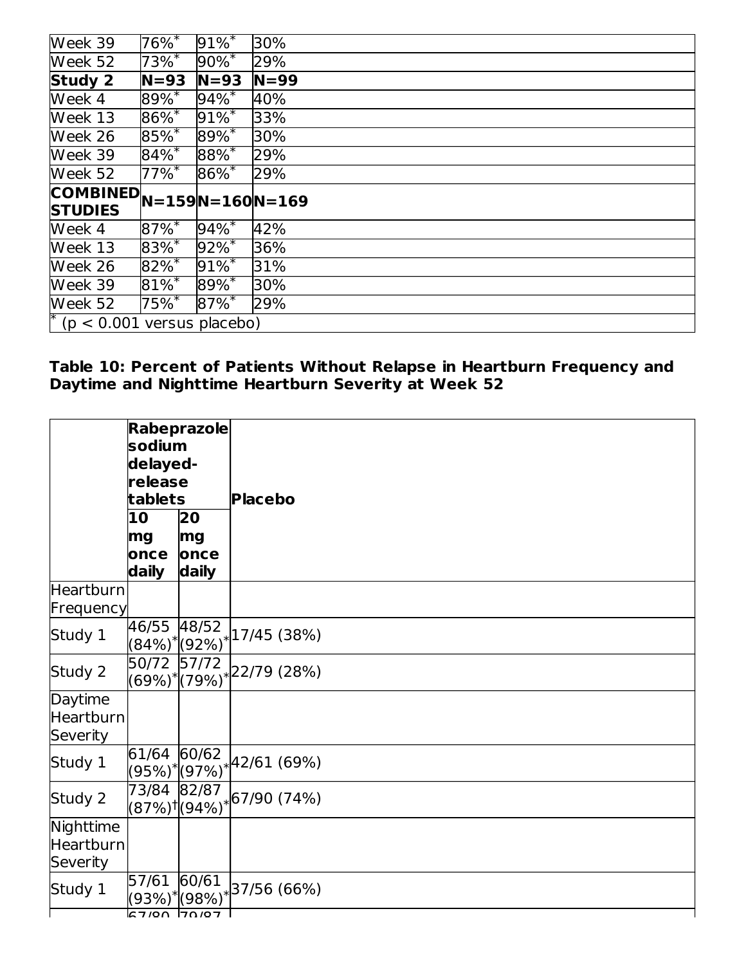| Week 39                                                               | $76\%$              | $91\%$ <sup>*</sup> | 30%      |
|-----------------------------------------------------------------------|---------------------|---------------------|----------|
| Week 52                                                               | $73\%$ <sup>*</sup> | $90\%^{*}$          | 29%      |
| Study 2                                                               | $N = 93$            | $N = 93$            | $N = 99$ |
| Week 4                                                                | $89\%$ *            | $94\%$ <sup>*</sup> | 40%      |
| Week 13                                                               | $86\%$ *            | $91\%$ <sup>*</sup> | 33%      |
| Week 26                                                               | $85\%$ *            | $89\%$ *            | 30%      |
| Week 39                                                               | $84\%$ <sup>*</sup> | $88\%$ *            | 29%      |
| Week 52                                                               | $77\%$ <sup>*</sup> | $86\%$              | 29%      |
|                                                                       |                     |                     |          |
| $\boxed{\textbf{COMBINED}}_{N=159}   N=160   N=169$<br><b>STUDIES</b> |                     |                     |          |
| Week 4                                                                | $87\%$ <sup>*</sup> | $94\%$ <sup>*</sup> | 42%      |
|                                                                       | $83%$ *             | $92\%^{*}$          | 36%      |
| Week 13<br>Week 26                                                    | $82\%$ *            | $91\%$ <sup>*</sup> | 31%      |
| Week 39                                                               | $81\%$ <sup>*</sup> | $89\%$ *            | 30%      |
| Week 52<br>$*(p < 0.001$ versus placebo)                              | $75\%$ <sup>*</sup> | $87\%$ *            | 29%      |

#### **Table 10: Percent of Patients Without Relapse in Heartburn Frequency and Daytime and Nighttime Heartburn Severity at Week 52**

|                                         | <b>Rabeprazole</b><br>sodium<br>delayed-<br>release<br>tablets |                           | <b>Placebo</b>                                         |
|-----------------------------------------|----------------------------------------------------------------|---------------------------|--------------------------------------------------------|
|                                         | 10<br>mg<br>once<br>daily                                      | 20<br>mg<br>once<br>daily |                                                        |
| Heartburn<br>Frequency                  |                                                                |                           |                                                        |
| Study 1                                 | 46/55                                                          | 48/52                     | $(84\%)^* (92\%)^*$ 17/45 (38%)                        |
| Study 2                                 | 50/72 57/72                                                    |                           | $\underbrace{(69\%)^*}{(79\%)^*}$ 22/79 (28%)          |
| Daytime<br><b>Heartburn</b><br>Severity |                                                                |                           |                                                        |
| Study 1                                 | 61/64 60/62                                                    |                           | $\frac{(95\%)^{*}(97\%)^{*}}{(97\%)^{*}}$ (69%)        |
| Study 2                                 | 73/84 82/87                                                    |                           | $\frac{1}{(87\%)!}\Bigl[ (94\%)^* \Bigl  67/90 (74\%)$ |
| Nighttime<br>Heartburn<br>Severity      |                                                                |                           |                                                        |
| Study 1                                 | 57/61<br>$57/90$ 70/97                                         | 60/61                     | $(93\%)^*$ (98%)* 37/56 (66%)                          |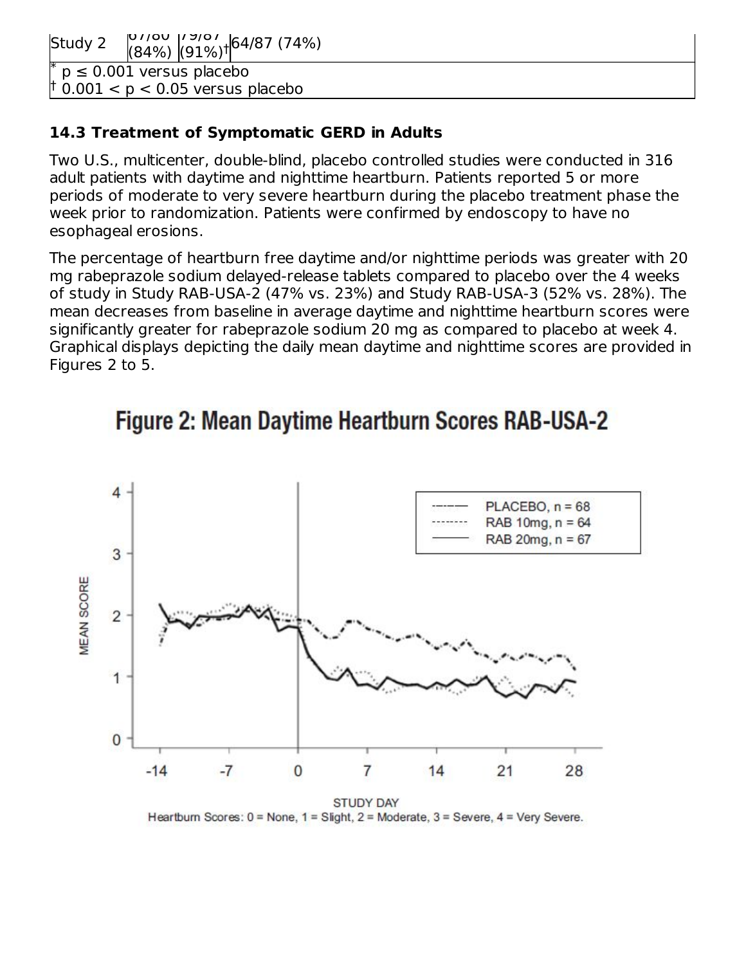Study 2 67/80 (84%) (91%) †  $19/01$ 64/87 (74%)

 $p \leq 0.001$  versus placebo  $0.001 < p < 0.05$  versus placebo \* †

#### **14.3 Treatment of Symptomatic GERD in Adults**

Two U.S., multicenter, double-blind, placebo controlled studies were conducted in 316 adult patients with daytime and nighttime heartburn. Patients reported 5 or more periods of moderate to very severe heartburn during the placebo treatment phase the week prior to randomization. Patients were confirmed by endoscopy to have no esophageal erosions.

The percentage of heartburn free daytime and/or nighttime periods was greater with 20 mg rabeprazole sodium delayed-release tablets compared to placebo over the 4 weeks of study in Study RAB-USA-2 (47% vs. 23%) and Study RAB-USA-3 (52% vs. 28%). The mean decreases from baseline in average daytime and nighttime heartburn scores were significantly greater for rabeprazole sodium 20 mg as compared to placebo at week 4. Graphical displays depicting the daily mean daytime and nighttime scores are provided in Figures 2 to 5.



# Figure 2: Mean Daytime Heartburn Scores RAB-USA-2

Heartburn Scores:  $0 = None$ ,  $1 = S$ light,  $2 = Moderate$ ,  $3 = Severe$ ,  $4 = Very Severe$ .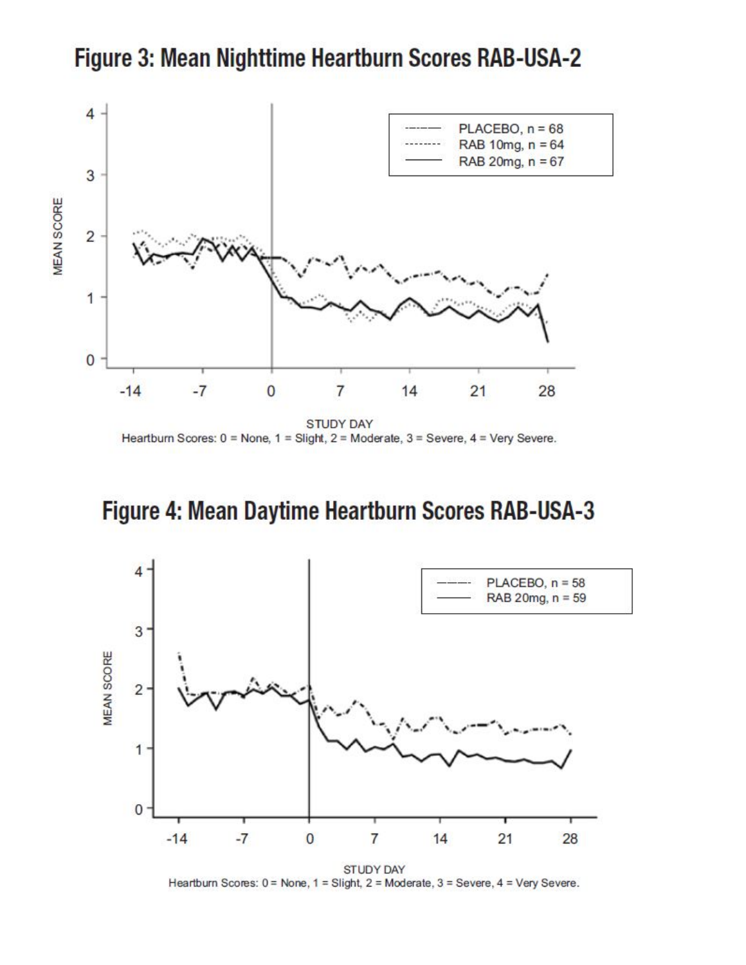

Figure 3: Mean Nighttime Heartburn Scores RAB-USA-2

# Figure 4: Mean Daytime Heartburn Scores RAB-USA-3



STUDY DAY Heartburn Scores: 0 = None, 1 = Slight, 2 = Moderate, 3 = Severe, 4 = Very Severe.

**STUDY DAY** Heartburn Scores: 0 = None, 1 = Slight, 2 = Moderate, 3 = Severe, 4 = Very Severe.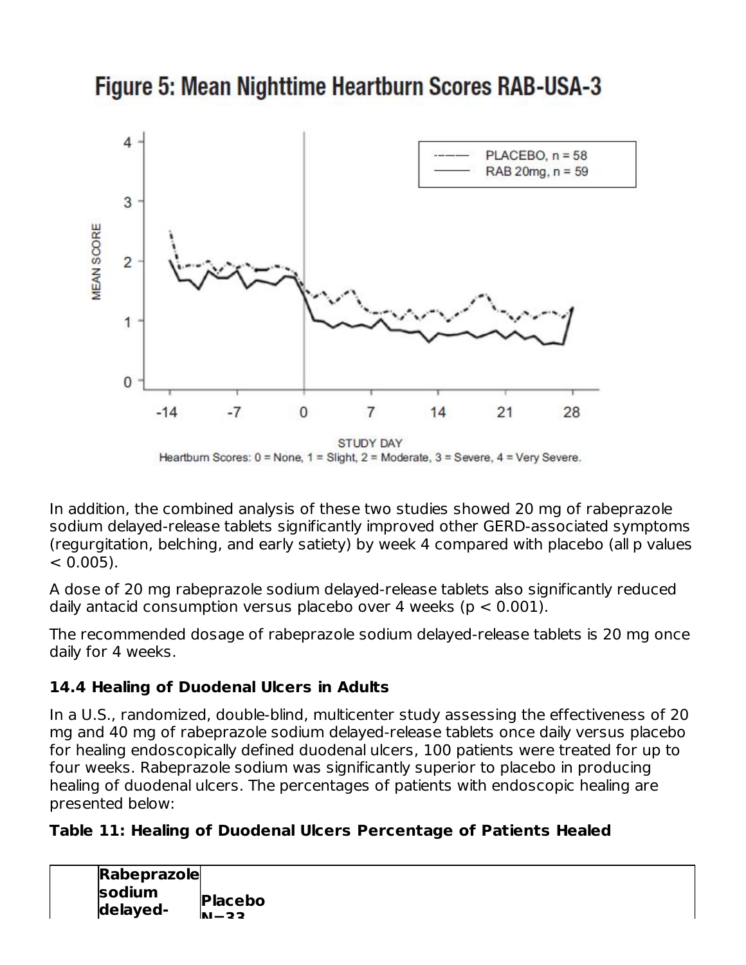



In addition, the combined analysis of these two studies showed 20 mg of rabeprazole sodium delayed-release tablets significantly improved other GERD-associated symptoms (regurgitation, belching, and early satiety) by week 4 compared with placebo (all p values  $< 0.005$ ).

A dose of 20 mg rabeprazole sodium delayed-release tablets also significantly reduced daily antacid consumption versus placebo over 4 weeks ( $p < 0.001$ ).

The recommended dosage of rabeprazole sodium delayed-release tablets is 20 mg once daily for 4 weeks.

### **14.4 Healing of Duodenal Ulcers in Adults**

In a U.S., randomized, double-blind, multicenter study assessing the effectiveness of 20 mg and 40 mg of rabeprazole sodium delayed-release tablets once daily versus placebo for healing endoscopically defined duodenal ulcers, 100 patients were treated for up to four weeks. Rabeprazole sodium was significantly superior to placebo in producing healing of duodenal ulcers. The percentages of patients with endoscopic healing are presented below:

#### **Table 11: Healing of Duodenal Ulcers Percentage of Patients Healed**

| Rabeprazole |            |
|-------------|------------|
| sodium      | Placebo    |
| delayed-    | $h_1 - 22$ |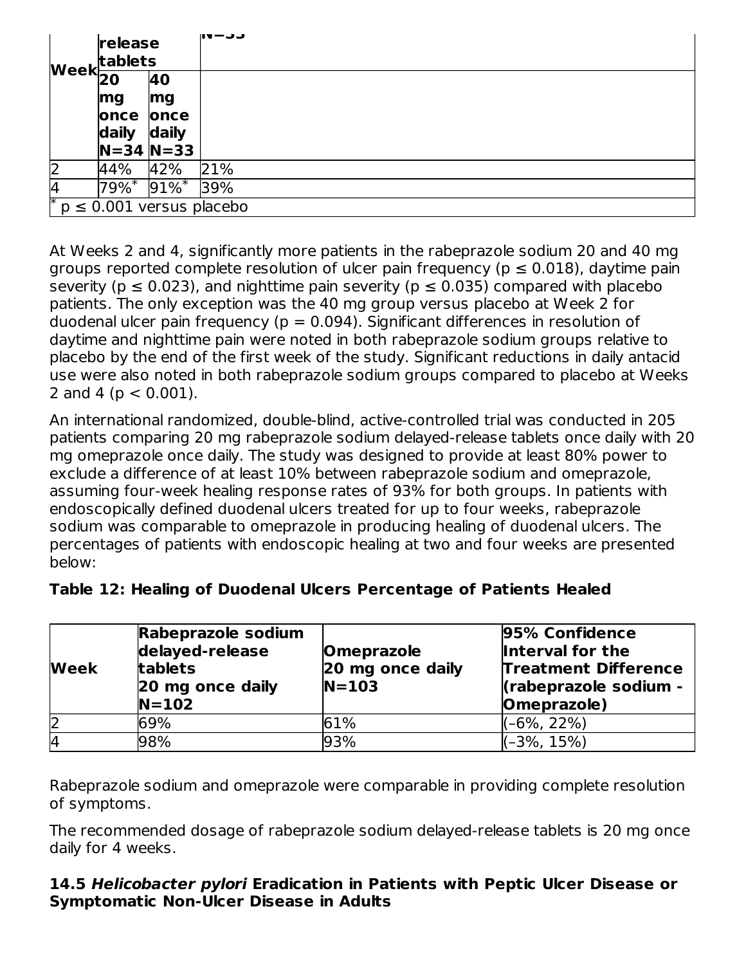|              | release<br>tablets                             |                               | 111—JJ |
|--------------|------------------------------------------------|-------------------------------|--------|
|              | $\textsf{Week}$ $\overline{\mathsf{20}}$<br>40 |                               |        |
|              | mg                                             | mg                            |        |
|              | once<br>once                                   |                               |        |
|              | daily                                          | daily                         |        |
|              |                                                | $N = 34 N = 33$               |        |
| $\mathsf{Z}$ | 44%                                            | 42%                           | 21%    |
| 14           | $79\%$ <sup>*</sup>                            | $91\%$ *                      | 39%    |
| ∗            |                                                | $p \leq 0.001$ versus placebo |        |

At Weeks 2 and 4, significantly more patients in the rabeprazole sodium 20 and 40 mg groups reported complete resolution of ulcer pain frequency ( $p \le 0.018$ ), daytime pain severity ( $p \le 0.023$ ), and nighttime pain severity ( $p \le 0.035$ ) compared with placebo patients. The only exception was the 40 mg group versus placebo at Week 2 for duodenal ulcer pain frequency ( $p = 0.094$ ). Significant differences in resolution of daytime and nighttime pain were noted in both rabeprazole sodium groups relative to placebo by the end of the first week of the study. Significant reductions in daily antacid use were also noted in both rabeprazole sodium groups compared to placebo at Weeks 2 and 4 ( $p < 0.001$ ).

An international randomized, double-blind, active-controlled trial was conducted in 205 patients comparing 20 mg rabeprazole sodium delayed-release tablets once daily with 20 mg omeprazole once daily. The study was designed to provide at least 80% power to exclude a difference of at least 10% between rabeprazole sodium and omeprazole, assuming four-week healing response rates of 93% for both groups. In patients with endoscopically defined duodenal ulcers treated for up to four weeks, rabeprazole sodium was comparable to omeprazole in producing healing of duodenal ulcers. The percentages of patients with endoscopic healing at two and four weeks are presented below:

| Week | Rabeprazole sodium<br>delayed-release<br>tablets<br>20 mg once daily<br>$N=102$ | <b>Omeprazole</b><br>20 mg once daily<br>$N = 103$ | 95% Confidence<br>Interval for the<br><b>Treatment Difference</b><br>(rabeprazole sodium -<br>Omeprazole) |
|------|---------------------------------------------------------------------------------|----------------------------------------------------|-----------------------------------------------------------------------------------------------------------|
| 2    | 69%                                                                             | 61%                                                | $(-6\%, 22\%)$                                                                                            |
| I4   | 98%                                                                             | 93%                                                | (–3%, 15%)                                                                                                |

#### **Table 12: Healing of Duodenal Ulcers Percentage of Patients Healed**

Rabeprazole sodium and omeprazole were comparable in providing complete resolution of symptoms.

The recommended dosage of rabeprazole sodium delayed-release tablets is 20 mg once daily for 4 weeks.

#### **14.5 Helicobacter pylori Eradication in Patients with Peptic Ulcer Disease or Symptomatic Non-Ulcer Disease in Adults**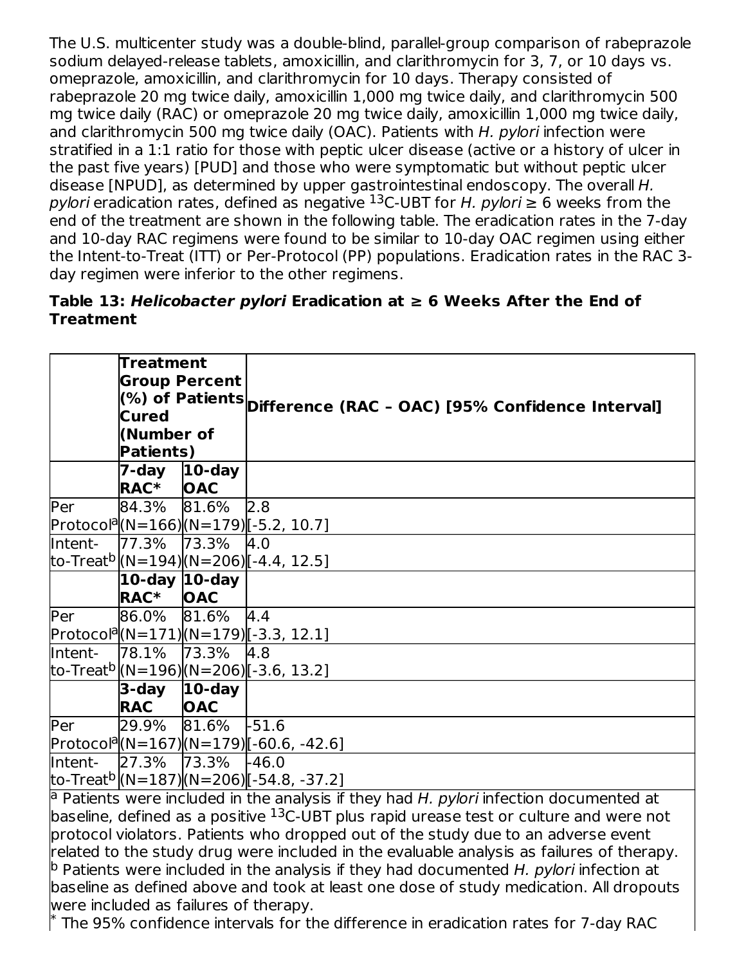The U.S. multicenter study was a double-blind, parallel-group comparison of rabeprazole sodium delayed-release tablets, amoxicillin, and clarithromycin for 3, 7, or 10 days vs. omeprazole, amoxicillin, and clarithromycin for 10 days. Therapy consisted of rabeprazole 20 mg twice daily, amoxicillin 1,000 mg twice daily, and clarithromycin 500 mg twice daily (RAC) or omeprazole 20 mg twice daily, amoxicillin 1,000 mg twice daily, and clarithromycin 500 mg twice daily (OAC). Patients with H. pylori infection were stratified in a 1:1 ratio for those with peptic ulcer disease (active or a history of ulcer in the past five years) [PUD] and those who were symptomatic but without peptic ulcer disease [NPUD], as determined by upper gastrointestinal endoscopy. The overall H. pylori eradication rates, defined as negative  $^{13}$ C-UBT for H. pylori  $\geq 6$  weeks from the end of the treatment are shown in the following table. The eradication rates in the 7-day and 10-day RAC regimens were found to be similar to 10-day OAC regimen using either the Intent-to-Treat (ITT) or Per-Protocol (PP) populations. Eradication rates in the RAC 3 day regimen were inferior to the other regimens.

#### **Table 13: Helicobacter pylori Eradication at ≥ 6 Weeks After the End of Treatment**

|         | Treatment        |                      |                                                                                                     |  |  |  |  |
|---------|------------------|----------------------|-----------------------------------------------------------------------------------------------------|--|--|--|--|
|         |                  | <b>Group Percent</b> |                                                                                                     |  |  |  |  |
|         |                  |                      | (%) of Patients $\vert$ Difference (RAC - OAC) [95% Confidence Interval]                            |  |  |  |  |
|         | <b>Cured</b>     |                      |                                                                                                     |  |  |  |  |
|         | (Number of       |                      |                                                                                                     |  |  |  |  |
|         | <b>Patients)</b> |                      |                                                                                                     |  |  |  |  |
|         | 7-day            | $10$ -day            |                                                                                                     |  |  |  |  |
|         | RAC <sup>*</sup> | <b>OAC</b>           |                                                                                                     |  |  |  |  |
| Per     | 84.3%            | 81.6%                | 2.8                                                                                                 |  |  |  |  |
|         |                  |                      | Protocol <sup>a</sup> (N=166)(N=179)[-5.2, 10.7]                                                    |  |  |  |  |
| Intent- | 77.3%            | 73.3%                | 4.0                                                                                                 |  |  |  |  |
|         |                  |                      | to-Treat <sup>b</sup>  (N=194) (N=206) [-4.4, 12.5]                                                 |  |  |  |  |
|         |                  | 10-day $ 10$ -day    |                                                                                                     |  |  |  |  |
|         | <b>RAC*</b>      | <b>OAC</b>           |                                                                                                     |  |  |  |  |
| Per     | 86.0%            | 81.6%                | 4.4                                                                                                 |  |  |  |  |
|         |                  |                      | Protocol <sup>a</sup> (N=171)(N=179)[-3.3, 12.1]                                                    |  |  |  |  |
| Intent- | 78.1%            | 73.3%                | 4.8                                                                                                 |  |  |  |  |
|         |                  |                      | to-Treat <sup>b</sup> (N=196) (N=206) [-3.6, 13.2]                                                  |  |  |  |  |
|         |                  | $3$ -day $ 10$ -day  |                                                                                                     |  |  |  |  |
|         | <b>RAC</b>       | <b>OAC</b>           |                                                                                                     |  |  |  |  |
| Per     | 29.9%            | 81.6%                | $-51.6$                                                                                             |  |  |  |  |
|         |                  |                      | Protocol <sup>a</sup> (N=167)(N=179)[-60.6, -42.6]                                                  |  |  |  |  |
| Intent- | 27.3%            | 73.3%                | $-46.0$                                                                                             |  |  |  |  |
|         |                  |                      | to-Treat <sup>b</sup>  (N=187) (N=206) [-54.8, -37.2]                                               |  |  |  |  |
|         |                  |                      | $^{ a }$ Patients were included in the analysis if they had H <i>pylori</i> infection documented at |  |  |  |  |

Patients were included in the analysis if they had H. pylori infection documented at baseline, defined as a positive <sup>13</sup>C-UBT plus rapid urease test or culture and were not protocol violators. Patients who dropped out of the study due to an adverse event related to the study drug were included in the evaluable analysis as failures of therapy.  $^{\text{b}}$  Patients were included in the analysis if they had documented H. pylori infection at baseline as defined above and took at least one dose of study medication. All dropouts were included as failures of therapy. 13

 $^{\ast}$  The 95% confidence intervals for the difference in eradication rates for 7-day RAC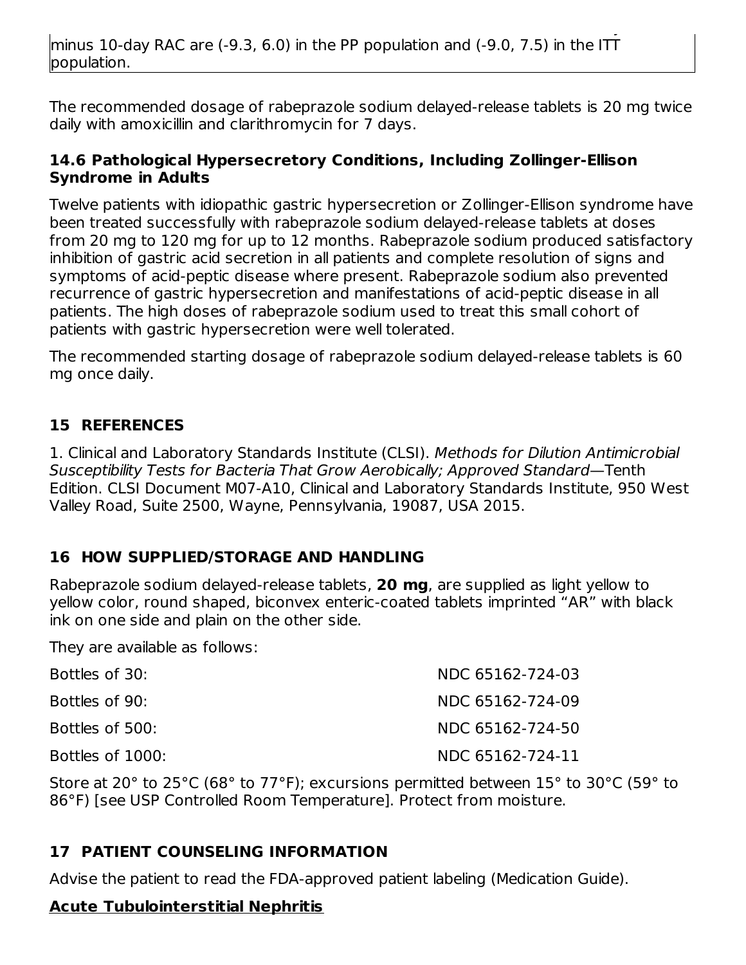The recommended dosage of rabeprazole sodium delayed-release tablets is 20 mg twice daily with amoxicillin and clarithromycin for 7 days.

#### **14.6 Pathological Hypersecretory Conditions, Including Zollinger-Ellison Syndrome in Adults**

Twelve patients with idiopathic gastric hypersecretion or Zollinger-Ellison syndrome have been treated successfully with rabeprazole sodium delayed-release tablets at doses from 20 mg to 120 mg for up to 12 months. Rabeprazole sodium produced satisfactory inhibition of gastric acid secretion in all patients and complete resolution of signs and symptoms of acid-peptic disease where present. Rabeprazole sodium also prevented recurrence of gastric hypersecretion and manifestations of acid-peptic disease in all patients. The high doses of rabeprazole sodium used to treat this small cohort of patients with gastric hypersecretion were well tolerated.

The recommended starting dosage of rabeprazole sodium delayed-release tablets is 60 mg once daily.

#### **15 REFERENCES**

1. Clinical and Laboratory Standards Institute (CLSI). Methods for Dilution Antimicrobial Susceptibility Tests for Bacteria That Grow Aerobically; Approved Standard—Tenth Edition. CLSI Document M07-A10, Clinical and Laboratory Standards Institute, 950 West Valley Road, Suite 2500, Wayne, Pennsylvania, 19087, USA 2015.

### **16 HOW SUPPLIED/STORAGE AND HANDLING**

Rabeprazole sodium delayed-release tablets, **20 mg**, are supplied as light yellow to yellow color, round shaped, biconvex enteric-coated tablets imprinted "AR" with black ink on one side and plain on the other side.

They are available as follows:

| Bottles of 30:   | NDC 65162-724-03 |
|------------------|------------------|
| Bottles of 90:   | NDC 65162-724-09 |
| Bottles of 500:  | NDC 65162-724-50 |
| Bottles of 1000: | NDC 65162-724-11 |

Store at 20° to 25°C (68° to 77°F); excursions permitted between 15° to 30°C (59° to 86°F) [see USP Controlled Room Temperature]. Protect from moisture.

### **17 PATIENT COUNSELING INFORMATION**

Advise the patient to read the FDA-approved patient labeling (Medication Guide).

#### **Acute Tubulointerstitial Nephritis**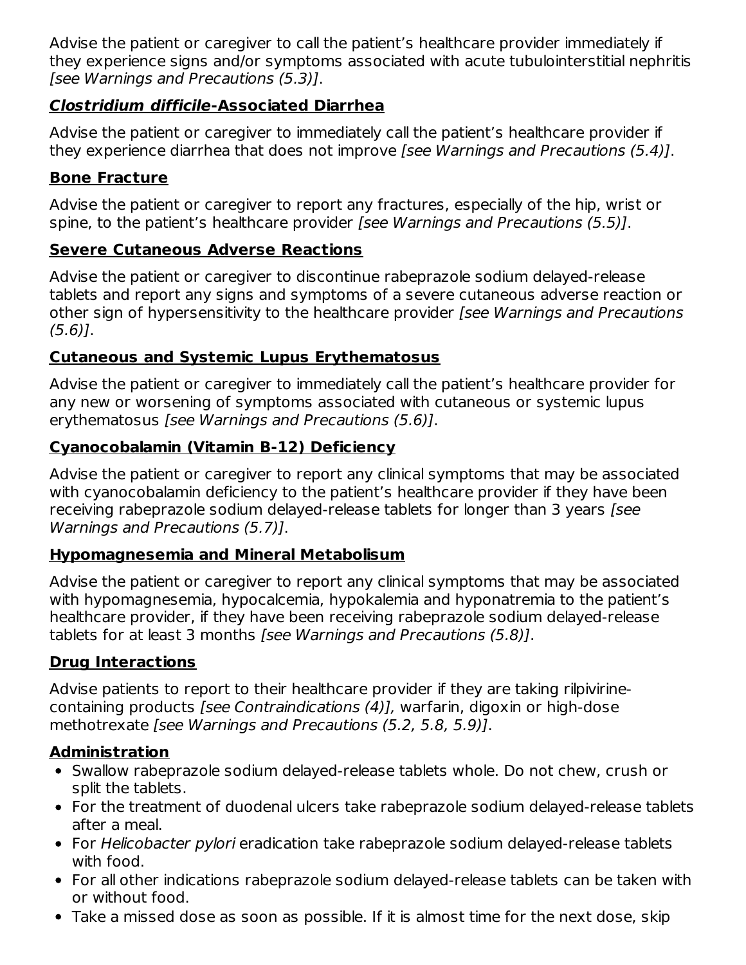Advise the patient or caregiver to call the patient's healthcare provider immediately if they experience signs and/or symptoms associated with acute tubulointerstitial nephritis [see Warnings and Precautions (5.3)].

### **Clostridium difficile-Associated Diarrhea**

Advise the patient or caregiver to immediately call the patient's healthcare provider if they experience diarrhea that does not improve [see Warnings and Precautions (5.4)].

### **Bone Fracture**

Advise the patient or caregiver to report any fractures, especially of the hip, wrist or spine, to the patient's healthcare provider [see Warnings and Precautions (5.5)].

### **Severe Cutaneous Adverse Reactions**

Advise the patient or caregiver to discontinue rabeprazole sodium delayed-release tablets and report any signs and symptoms of a severe cutaneous adverse reaction or other sign of hypersensitivity to the healthcare provider [see Warnings and Precautions  $(5.6)$ ].

## **Cutaneous and Systemic Lupus Erythematosus**

Advise the patient or caregiver to immediately call the patient's healthcare provider for any new or worsening of symptoms associated with cutaneous or systemic lupus erythematosus [see Warnings and Precautions (5.6)].

## **Cyanocobalamin (Vitamin B-12) Deficiency**

Advise the patient or caregiver to report any clinical symptoms that may be associated with cyanocobalamin deficiency to the patient's healthcare provider if they have been receiving rabeprazole sodium delayed-release tablets for longer than 3 years [see Warnings and Precautions (5.7)].

### **Hypomagnesemia and Mineral Metabolisum**

Advise the patient or caregiver to report any clinical symptoms that may be associated with hypomagnesemia, hypocalcemia, hypokalemia and hyponatremia to the patient's healthcare provider, if they have been receiving rabeprazole sodium delayed-release tablets for at least 3 months [see Warnings and Precautions (5.8)].

## **Drug Interactions**

Advise patients to report to their healthcare provider if they are taking rilpivirinecontaining products [see Contraindications (4)], warfarin, digoxin or high-dose methotrexate [see Warnings and Precautions (5.2, 5.8, 5.9)].

## **Administration**

- Swallow rabeprazole sodium delayed-release tablets whole. Do not chew, crush or split the tablets.
- For the treatment of duodenal ulcers take rabeprazole sodium delayed-release tablets after a meal.
- For Helicobacter pylori eradication take rabeprazole sodium delayed-release tablets with food.
- For all other indications rabeprazole sodium delayed-release tablets can be taken with or without food.
- Take a missed dose as soon as possible. If it is almost time for the next dose, skip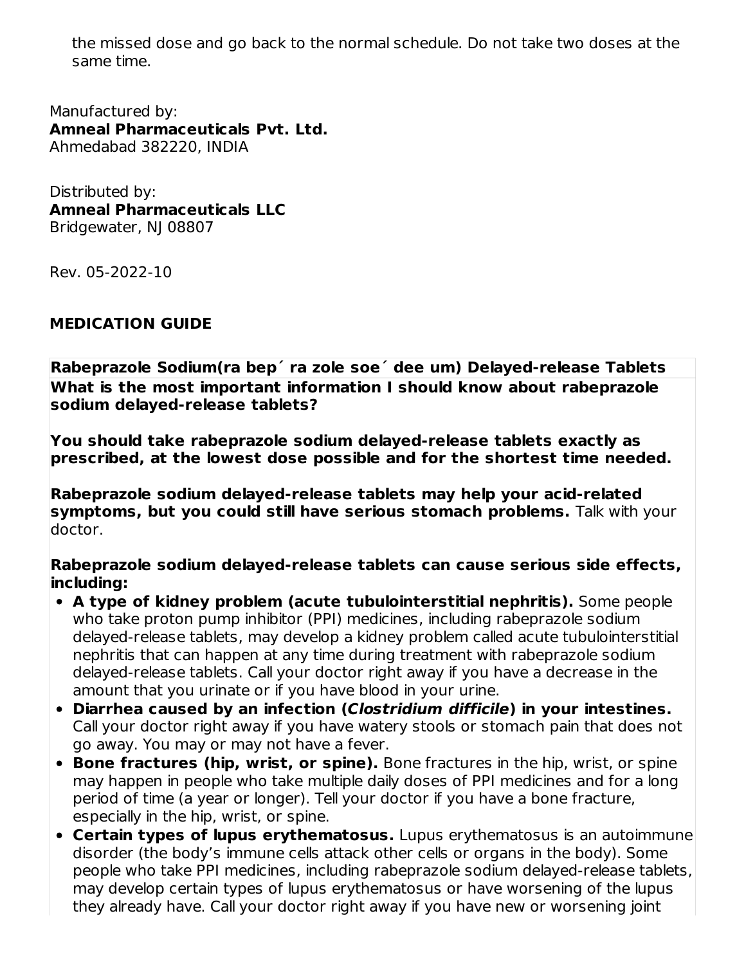the missed dose and go back to the normal schedule. Do not take two doses at the same time.

Manufactured by: **Amneal Pharmaceuticals Pvt. Ltd.** Ahmedabad 382220, INDIA

Distributed by: **Amneal Pharmaceuticals LLC** Bridgewater, NJ 08807

Rev. 05-2022-10

#### **MEDICATION GUIDE**

**Rabeprazole Sodium(ra bep´ ra zole soe´ dee um) Delayed-release Tablets What is the most important information I should know about rabeprazole sodium delayed-release tablets?**

**You should take rabeprazole sodium delayed-release tablets exactly as prescribed, at the lowest dose possible and for the shortest time needed.**

**Rabeprazole sodium delayed-release tablets may help your acid-related symptoms, but you could still have serious stomach problems.** Talk with your doctor.

**Rabeprazole sodium delayed-release tablets can cause serious side effects, including:**

- **A type of kidney problem (acute tubulointerstitial nephritis).** Some people who take proton pump inhibitor (PPI) medicines, including rabeprazole sodium delayed-release tablets, may develop a kidney problem called acute tubulointerstitial nephritis that can happen at any time during treatment with rabeprazole sodium delayed-release tablets. Call your doctor right away if you have a decrease in the amount that you urinate or if you have blood in your urine.
- **Diarrhea caused by an infection (Clostridium difficile) in your intestines.** Call your doctor right away if you have watery stools or stomach pain that does not go away. You may or may not have a fever.
- **Bone fractures (hip, wrist, or spine).** Bone fractures in the hip, wrist, or spine may happen in people who take multiple daily doses of PPI medicines and for a long period of time (a year or longer). Tell your doctor if you have a bone fracture, especially in the hip, wrist, or spine.
- **Certain types of lupus erythematosus.** Lupus erythematosus is an autoimmune disorder (the body's immune cells attack other cells or organs in the body). Some people who take PPI medicines, including rabeprazole sodium delayed-release tablets, may develop certain types of lupus erythematosus or have worsening of the lupus they already have. Call your doctor right away if you have new or worsening joint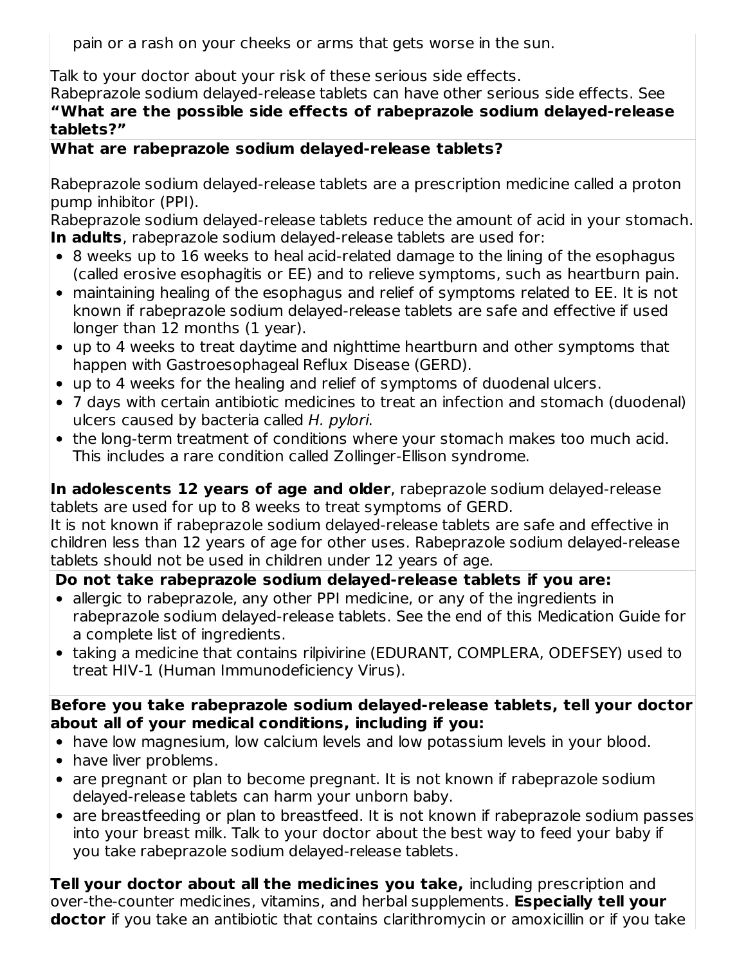pain or a rash on your cheeks or arms that gets worse in the sun.

Talk to your doctor about your risk of these serious side effects.

Rabeprazole sodium delayed-release tablets can have other serious side effects. See **"What are the possible side effects of rabeprazole sodium delayed-release tablets?"**

### **What are rabeprazole sodium delayed-release tablets?**

Rabeprazole sodium delayed-release tablets are a prescription medicine called a proton pump inhibitor (PPI).

Rabeprazole sodium delayed-release tablets reduce the amount of acid in your stomach. **In adults**, rabeprazole sodium delayed-release tablets are used for:

- 8 weeks up to 16 weeks to heal acid-related damage to the lining of the esophagus (called erosive esophagitis or EE) and to relieve symptoms, such as heartburn pain.
- maintaining healing of the esophagus and relief of symptoms related to EE. It is not known if rabeprazole sodium delayed-release tablets are safe and effective if used longer than 12 months (1 year).
- up to 4 weeks to treat daytime and nighttime heartburn and other symptoms that happen with Gastroesophageal Reflux Disease (GERD).
- up to 4 weeks for the healing and relief of symptoms of duodenal ulcers.
- 7 days with certain antibiotic medicines to treat an infection and stomach (duodenal) ulcers caused by bacteria called H. pylori.
- the long-term treatment of conditions where your stomach makes too much acid. This includes a rare condition called Zollinger-Ellison syndrome.

**In adolescents 12 years of age and older**, rabeprazole sodium delayed-release tablets are used for up to 8 weeks to treat symptoms of GERD.

It is not known if rabeprazole sodium delayed-release tablets are safe and effective in children less than 12 years of age for other uses. Rabeprazole sodium delayed-release tablets should not be used in children under 12 years of age.

## **Do not take rabeprazole sodium delayed-release tablets if you are:**

- allergic to rabeprazole, any other PPI medicine, or any of the ingredients in rabeprazole sodium delayed-release tablets. See the end of this Medication Guide for a complete list of ingredients.
- taking a medicine that contains rilpivirine (EDURANT, COMPLERA, ODEFSEY) used to treat HIV-1 (Human Immunodeficiency Virus).

### **Before you take rabeprazole sodium delayed-release tablets, tell your doctor about all of your medical conditions, including if you:**

- have low magnesium, low calcium levels and low potassium levels in your blood.
- have liver problems.
- are pregnant or plan to become pregnant. It is not known if rabeprazole sodium delayed-release tablets can harm your unborn baby.
- are breastfeeding or plan to breastfeed. It is not known if rabeprazole sodium passes into your breast milk. Talk to your doctor about the best way to feed your baby if you take rabeprazole sodium delayed-release tablets.

**Tell your doctor about all the medicines you take,** including prescription and over-the-counter medicines, vitamins, and herbal supplements. **Especially tell your doctor** if you take an antibiotic that contains clarithromycin or amoxicillin or if you take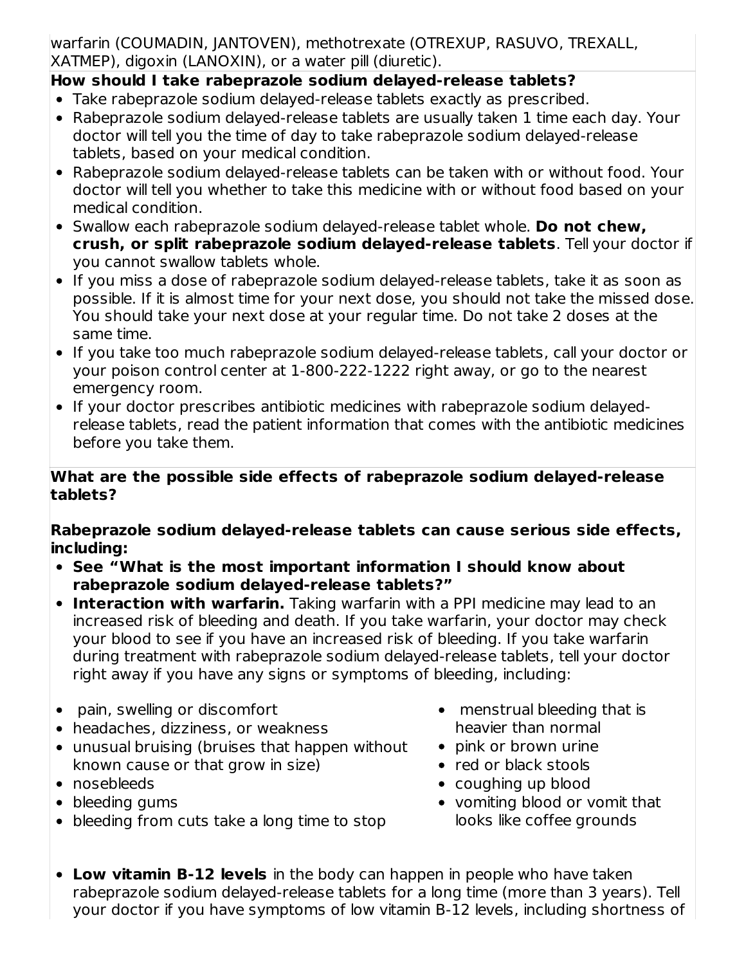warfarin (COUMADIN, JANTOVEN), methotrexate (OTREXUP, RASUVO, TREXALL, XATMEP), digoxin (LANOXIN), or a water pill (diuretic).

## **How should I take rabeprazole sodium delayed-release tablets?**

- Take rabeprazole sodium delayed-release tablets exactly as prescribed.
- Rabeprazole sodium delayed-release tablets are usually taken 1 time each day. Your doctor will tell you the time of day to take rabeprazole sodium delayed-release tablets, based on your medical condition.
- Rabeprazole sodium delayed-release tablets can be taken with or without food. Your doctor will tell you whether to take this medicine with or without food based on your medical condition.
- Swallow each rabeprazole sodium delayed-release tablet whole. **Do not chew, crush, or split rabeprazole sodium delayed-release tablets**. Tell your doctor if you cannot swallow tablets whole.
- If you miss a dose of rabeprazole sodium delayed-release tablets, take it as soon as possible. If it is almost time for your next dose, you should not take the missed dose. You should take your next dose at your regular time. Do not take 2 doses at the same time.
- If you take too much rabeprazole sodium delayed-release tablets, call your doctor or your poison control center at 1-800-222-1222 right away, or go to the nearest emergency room.
- If your doctor prescribes antibiotic medicines with rabeprazole sodium delayedrelease tablets, read the patient information that comes with the antibiotic medicines before you take them.

#### **What are the possible side effects of rabeprazole sodium delayed-release tablets?**

**Rabeprazole sodium delayed-release tablets can cause serious side effects, including:**

- **See "What is the most important information I should know about rabeprazole sodium delayed-release tablets?"**
- **Interaction with warfarin.** Taking warfarin with a PPI medicine may lead to an increased risk of bleeding and death. If you take warfarin, your doctor may check your blood to see if you have an increased risk of bleeding. If you take warfarin during treatment with rabeprazole sodium delayed-release tablets, tell your doctor right away if you have any signs or symptoms of bleeding, including:
- pain, swelling or discomfort
- headaches, dizziness, or weakness
- unusual bruising (bruises that happen without known cause or that grow in size)
- nosebleeds
- bleeding gums
- bleeding from cuts take a long time to stop
- menstrual bleeding that is heavier than normal
- pink or brown urine
- red or black stools
- coughing up blood
- vomiting blood or vomit that looks like coffee grounds
- **Low vitamin B-12 levels** in the body can happen in people who have taken rabeprazole sodium delayed-release tablets for a long time (more than 3 years). Tell your doctor if you have symptoms of low vitamin B-12 levels, including shortness of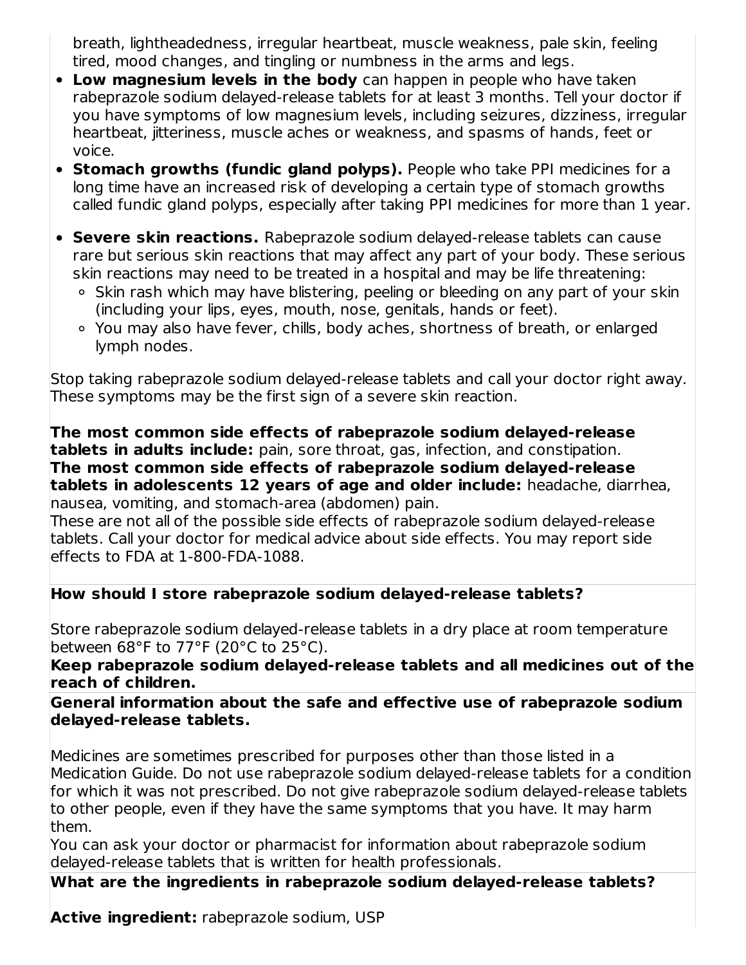breath, lightheadedness, irregular heartbeat, muscle weakness, pale skin, feeling tired, mood changes, and tingling or numbness in the arms and legs.

- **Low magnesium levels in the body** can happen in people who have taken rabeprazole sodium delayed-release tablets for at least 3 months. Tell your doctor if you have symptoms of low magnesium levels, including seizures, dizziness, irregular heartbeat, jitteriness, muscle aches or weakness, and spasms of hands, feet or voice.
- **Stomach growths (fundic gland polyps).** People who take PPI medicines for a long time have an increased risk of developing a certain type of stomach growths called fundic gland polyps, especially after taking PPI medicines for more than 1 year.
- **Severe skin reactions.** Rabeprazole sodium delayed-release tablets can cause rare but serious skin reactions that may affect any part of your body. These serious skin reactions may need to be treated in a hospital and may be life threatening:
	- Skin rash which may have blistering, peeling or bleeding on any part of your skin (including your lips, eyes, mouth, nose, genitals, hands or feet).
	- You may also have fever, chills, body aches, shortness of breath, or enlarged lymph nodes.

Stop taking rabeprazole sodium delayed-release tablets and call your doctor right away. These symptoms may be the first sign of a severe skin reaction.

**The most common side effects of rabeprazole sodium delayed-release tablets in adults include:** pain, sore throat, gas, infection, and constipation. **The most common side effects of rabeprazole sodium delayed-release tablets in adolescents 12 years of age and older include:** headache, diarrhea, nausea, vomiting, and stomach-area (abdomen) pain.

These are not all of the possible side effects of rabeprazole sodium delayed-release tablets. Call your doctor for medical advice about side effects. You may report side effects to FDA at 1-800-FDA-1088.

### **How should I store rabeprazole sodium delayed-release tablets?**

Store rabeprazole sodium delayed-release tablets in a dry place at room temperature between 68°F to 77°F (20°C to 25°C).

**Keep rabeprazole sodium delayed-release tablets and all medicines out of the reach of children.**

**General information about the safe and effective use of rabeprazole sodium delayed-release tablets.**

Medicines are sometimes prescribed for purposes other than those listed in a Medication Guide. Do not use rabeprazole sodium delayed-release tablets for a condition for which it was not prescribed. Do not give rabeprazole sodium delayed-release tablets to other people, even if they have the same symptoms that you have. It may harm them.

You can ask your doctor or pharmacist for information about rabeprazole sodium delayed-release tablets that is written for health professionals.

**What are the ingredients in rabeprazole sodium delayed-release tablets?**

**Active ingredient:** rabeprazole sodium, USP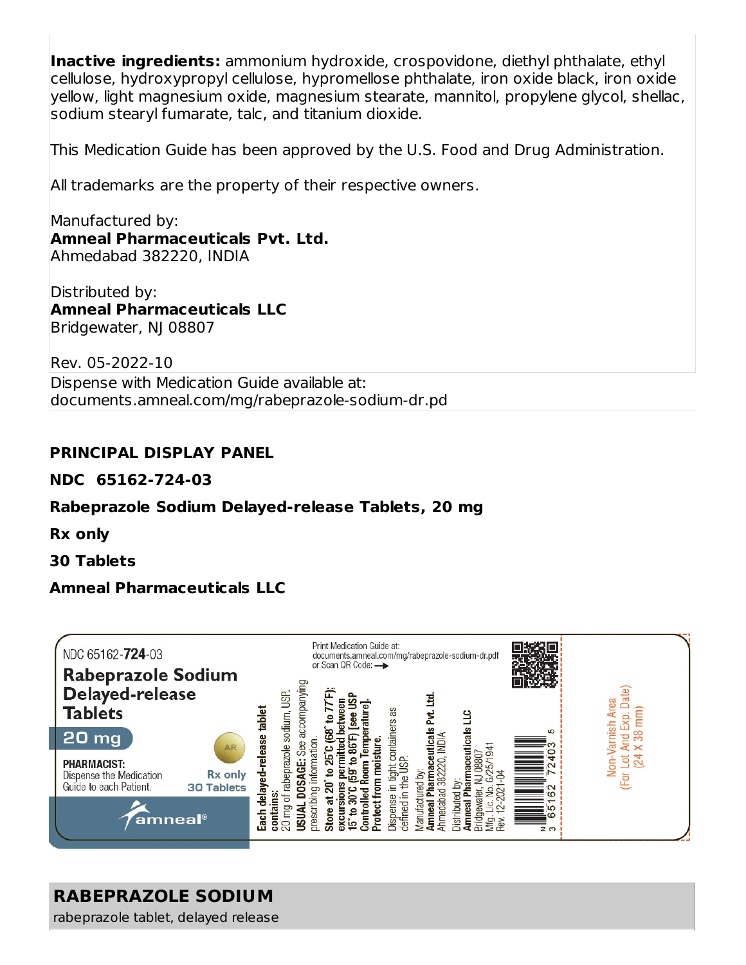**Inactive ingredients:** ammonium hydroxide, crospovidone, diethyl phthalate, ethyl cellulose, hydroxypropyl cellulose, hypromellose phthalate, iron oxide black, iron oxide yellow, light magnesium oxide, magnesium stearate, mannitol, propylene glycol, shellac, sodium stearyl fumarate, talc, and titanium dioxide.

This Medication Guide has been approved by the U.S. Food and Drug Administration.

All trademarks are the property of their respective owners.

Manufactured by: **Amneal Pharmaceuticals Pvt. Ltd.** Ahmedabad 382220, INDIA

Distributed by: **Amneal Pharmaceuticals LLC** Bridgewater, NJ 08807

Rev. 05-2022-10

Dispense with Medication Guide available at: documents.amneal.com/mg/rabeprazole-sodium-dr.pd

#### **PRINCIPAL DISPLAY PANEL**

**NDC 65162-724-03**

#### **Rabeprazole Sodium Delayed-release Tablets, 20 mg**

**Rx only**

**30 Tablets**

#### **Amneal Pharmaceuticals LLC**



## **RABEPRAZOLE SODIUM**

rabeprazole tablet, delayed release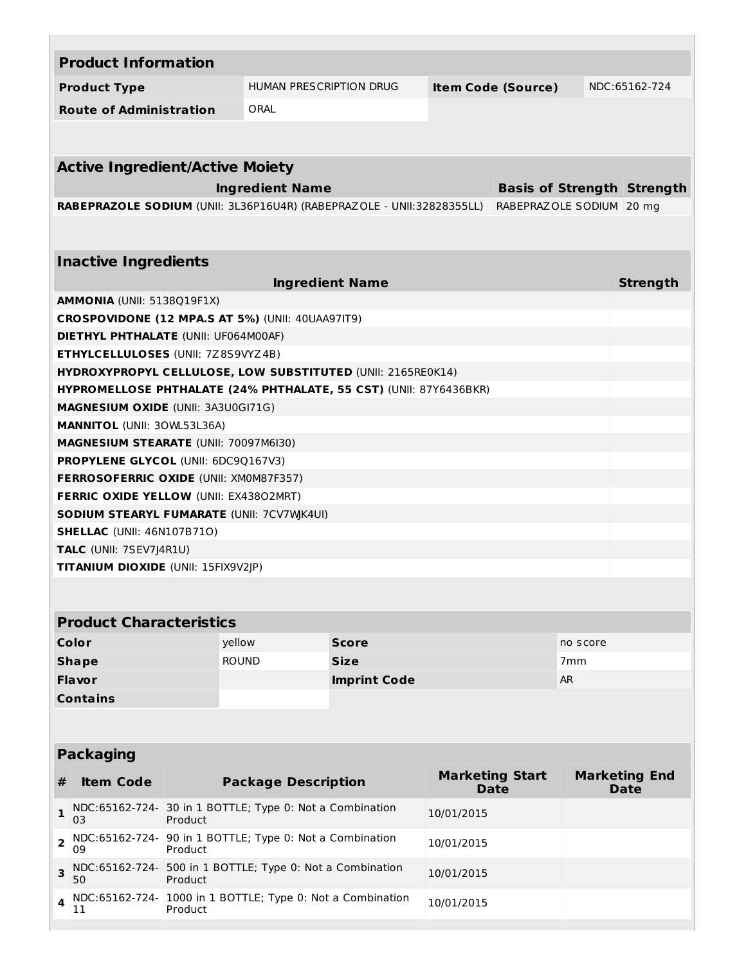|                                                                                                   | <b>Product Information</b>                                                 |         |                                                                   |                                                             |                                       |          |                                     |  |  |  |
|---------------------------------------------------------------------------------------------------|----------------------------------------------------------------------------|---------|-------------------------------------------------------------------|-------------------------------------------------------------|---------------------------------------|----------|-------------------------------------|--|--|--|
| <b>Product Type</b>                                                                               |                                                                            |         |                                                                   | <b>HUMAN PRESCRIPTION DRUG</b><br><b>Item Code (Source)</b> |                                       |          | NDC:65162-724                       |  |  |  |
|                                                                                                   | <b>Route of Administration</b><br>ORAL                                     |         |                                                                   |                                                             |                                       |          |                                     |  |  |  |
|                                                                                                   |                                                                            |         |                                                                   |                                                             |                                       |          |                                     |  |  |  |
|                                                                                                   | <b>Active Ingredient/Active Moiety</b>                                     |         |                                                                   |                                                             |                                       |          |                                     |  |  |  |
| <b>Ingredient Name</b><br><b>Basis of Strength Strength</b>                                       |                                                                            |         |                                                                   |                                                             |                                       |          |                                     |  |  |  |
| RABEPRAZOLE SODIUM (UNII: 3L36P16U4R) (RABEPRAZOLE - UNII:32828355LL)<br>RABEPRAZOLE SODIUM 20 mg |                                                                            |         |                                                                   |                                                             |                                       |          |                                     |  |  |  |
|                                                                                                   |                                                                            |         |                                                                   |                                                             |                                       |          |                                     |  |  |  |
|                                                                                                   | <b>Inactive Ingredients</b>                                                |         |                                                                   |                                                             |                                       |          |                                     |  |  |  |
|                                                                                                   |                                                                            |         |                                                                   | <b>Ingredient Name</b>                                      |                                       |          | <b>Strength</b>                     |  |  |  |
|                                                                                                   | <b>AMMONIA (UNII: 5138Q19F1X)</b>                                          |         |                                                                   |                                                             |                                       |          |                                     |  |  |  |
|                                                                                                   |                                                                            |         | <b>CROSPOVIDONE (12 MPA.S AT 5%) (UNII: 40UAA97IT9)</b>           |                                                             |                                       |          |                                     |  |  |  |
|                                                                                                   | <b>DIETHYL PHTHALATE (UNII: UF064M00AF)</b>                                |         |                                                                   |                                                             |                                       |          |                                     |  |  |  |
|                                                                                                   | <b>ETHYLCELLULOSES (UNII: 7Z8S9VYZ4B)</b>                                  |         |                                                                   |                                                             |                                       |          |                                     |  |  |  |
|                                                                                                   |                                                                            |         | HYDROXYPROPYL CELLULOSE, LOW SUBSTITUTED (UNII: 2165RE0K14)       |                                                             |                                       |          |                                     |  |  |  |
|                                                                                                   |                                                                            |         | HYPROMELLOSE PHTHALATE (24% PHTHALATE, 55 CST) (UNII: 87Y6436BKR) |                                                             |                                       |          |                                     |  |  |  |
|                                                                                                   | <b>MAGNESIUM OXIDE (UNII: 3A3U0GI71G)</b>                                  |         |                                                                   |                                                             |                                       |          |                                     |  |  |  |
|                                                                                                   | <b>MANNITOL (UNII: 30WL53L36A)</b>                                         |         |                                                                   |                                                             |                                       |          |                                     |  |  |  |
|                                                                                                   | <b>MAGNESIUM STEARATE (UNII: 70097M6I30)</b>                               |         |                                                                   |                                                             |                                       |          |                                     |  |  |  |
|                                                                                                   | <b>PROPYLENE GLYCOL (UNII: 6DC9Q167V3)</b>                                 |         |                                                                   |                                                             |                                       |          |                                     |  |  |  |
|                                                                                                   | <b>FERROSOFERRIC OXIDE (UNII: XM0M87F357)</b>                              |         |                                                                   |                                                             |                                       |          |                                     |  |  |  |
|                                                                                                   | <b>FERRIC OXIDE YELLOW (UNII: EX43802MRT)</b>                              |         |                                                                   |                                                             |                                       |          |                                     |  |  |  |
|                                                                                                   |                                                                            |         | <b>SODIUM STEARYL FUMARATE (UNII: 7CV7WJK4UI)</b>                 |                                                             |                                       |          |                                     |  |  |  |
|                                                                                                   | <b>SHELLAC</b> (UNII: 46N107B71O)                                          |         |                                                                   |                                                             |                                       |          |                                     |  |  |  |
|                                                                                                   | TALC (UNII: 7SEV7J4R1U)                                                    |         |                                                                   |                                                             |                                       |          |                                     |  |  |  |
|                                                                                                   | TITANIUM DIOXIDE (UNII: 15FIX9V2JP)                                        |         |                                                                   |                                                             |                                       |          |                                     |  |  |  |
|                                                                                                   |                                                                            |         |                                                                   |                                                             |                                       |          |                                     |  |  |  |
|                                                                                                   | <b>Product Characteristics</b>                                             |         |                                                                   |                                                             |                                       |          |                                     |  |  |  |
|                                                                                                   | Color                                                                      |         | yellow                                                            | <b>Score</b>                                                |                                       | no score |                                     |  |  |  |
|                                                                                                   | <b>Shape</b>                                                               |         | <b>ROUND</b>                                                      | <b>Size</b><br>7 <sub>mm</sub>                              |                                       |          |                                     |  |  |  |
|                                                                                                   | Flavor                                                                     |         |                                                                   | <b>AR</b><br><b>Imprint Code</b>                            |                                       |          |                                     |  |  |  |
|                                                                                                   | <b>Contains</b>                                                            |         |                                                                   |                                                             |                                       |          |                                     |  |  |  |
|                                                                                                   |                                                                            |         |                                                                   |                                                             |                                       |          |                                     |  |  |  |
|                                                                                                   |                                                                            |         |                                                                   |                                                             |                                       |          |                                     |  |  |  |
|                                                                                                   | <b>Packaging</b>                                                           |         |                                                                   |                                                             |                                       |          |                                     |  |  |  |
| #                                                                                                 | <b>Item Code</b>                                                           |         | <b>Package Description</b>                                        |                                                             | <b>Marketing Start</b><br><b>Date</b> |          | <b>Marketing End</b><br><b>Date</b> |  |  |  |
| 1                                                                                                 | 03                                                                         | Product | NDC:65162-724- 30 in 1 BOTTLE; Type 0: Not a Combination          |                                                             | 10/01/2015                            |          |                                     |  |  |  |
| 2                                                                                                 | 09                                                                         | Product | NDC:65162-724- 90 in 1 BOTTLE; Type 0: Not a Combination          |                                                             | 10/01/2015                            |          |                                     |  |  |  |
| 3                                                                                                 | NDC:65162-724- 500 in 1 BOTTLE; Type 0: Not a Combination<br>Product<br>50 |         |                                                                   |                                                             | 10/01/2015                            |          |                                     |  |  |  |
| 4                                                                                                 | NDC:65162-724-<br>11                                                       | Product | 1000 in 1 BOTTLE; Type 0: Not a Combination                       |                                                             | 10/01/2015                            |          |                                     |  |  |  |
|                                                                                                   |                                                                            |         |                                                                   |                                                             |                                       |          |                                     |  |  |  |

**Contract**